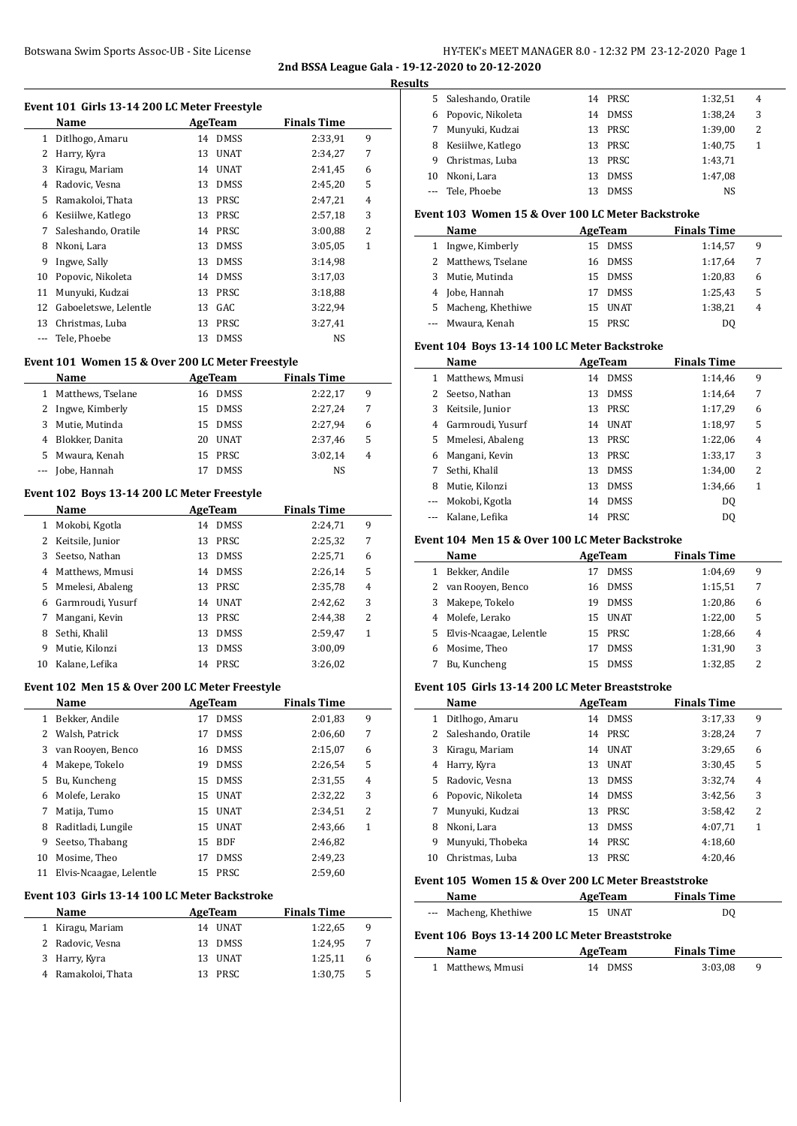# Botswana Swim Sports Assoc-UB - Site License HY-TEK's MEET MANAGER 8.0 - 12:32 PM 23-12-2020 Page 1

**2nd BSSA League Gala - 19-12-2020 to 20-12-2020 Results**

 $\overline{a}$ 

# **Event 101 Girls 13-14 200 LC Meter Freestyle**

|    | $\frac{1}{2}$         |    |             |                    |              |  |  |  |  |
|----|-----------------------|----|-------------|--------------------|--------------|--|--|--|--|
|    | Name                  |    | AgeTeam     | <b>Finals Time</b> |              |  |  |  |  |
| 1  | Ditlhogo, Amaru       | 14 | <b>DMSS</b> | 2:33,91            | 9            |  |  |  |  |
| 2  | Harry, Kyra           | 13 | <b>UNAT</b> | 2:34,27            | 7            |  |  |  |  |
| 3  | Kiragu, Mariam        | 14 | <b>UNAT</b> | 2:41,45            | 6            |  |  |  |  |
| 4  | Radovic, Vesna        | 13 | <b>DMSS</b> | 2:45,20            | 5            |  |  |  |  |
| 5  | Ramakoloi, Thata      | 13 | <b>PRSC</b> | 2:47,21            | 4            |  |  |  |  |
| 6  | Kesiilwe, Katlego     | 13 | <b>PRSC</b> | 2:57,18            | 3            |  |  |  |  |
| 7  | Saleshando, Oratile   | 14 | <b>PRSC</b> | 3:00,88            | 2            |  |  |  |  |
| 8  | Nkoni, Lara           | 13 | <b>DMSS</b> | 3:05,05            | $\mathbf{1}$ |  |  |  |  |
| 9  | Ingwe, Sally          | 13 | <b>DMSS</b> | 3:14,98            |              |  |  |  |  |
| 10 | Popovic, Nikoleta     | 14 | <b>DMSS</b> | 3:17,03            |              |  |  |  |  |
| 11 | Munyuki, Kudzai       | 13 | <b>PRSC</b> | 3:18,88            |              |  |  |  |  |
| 12 | Gaboeletswe, Lelentle | 13 | GAC         | 3:22,94            |              |  |  |  |  |
| 13 | Christmas, Luba       | 13 | <b>PRSC</b> | 3:27,41            |              |  |  |  |  |
|    | Tele, Phoebe          | 13 | <b>DMSS</b> | <b>NS</b>          |              |  |  |  |  |
|    |                       |    |             |                    |              |  |  |  |  |

## **Event 101 Women 15 & Over 200 LC Meter Freestyle**

|    | Name                | AgeTeam |             | <b>Finals Time</b> |   |
|----|---------------------|---------|-------------|--------------------|---|
|    | 1 Matthews, Tselane | 16.     | <b>DMSS</b> | 2:22,17            | 9 |
|    | 2 Ingwe, Kimberly   |         | 15 DMSS     | 2:27.24            | 7 |
| 3. | Mutie, Mutinda      |         | 15 DMSS     | 2:27.94            | 6 |
|    | 4 Blokker, Danita   |         | 20 UNAT     | 2:37,46            | 5 |
| 5. | Mwaura, Kenah       |         | 15 PRSC     | 3:02.14            | 4 |
|    | Jobe, Hannah        |         | <b>DMSS</b> | NS                 |   |

#### **Event 102 Boys 13-14 200 LC Meter Freestyle**

|    | <b>Name</b>       |    | AgeTeam     | <b>Finals Time</b> |   |  |
|----|-------------------|----|-------------|--------------------|---|--|
| 1  | Mokobi, Kgotla    | 14 | <b>DMSS</b> | 2:24.71            | 9 |  |
| 2  | Keitsile, Junior  | 13 | PRSC        | 2:25,32            | 7 |  |
| 3  | Seetso, Nathan    | 13 | <b>DMSS</b> | 2:25,71            | 6 |  |
| 4  | Matthews, Mmusi   | 14 | <b>DMSS</b> | 2:26.14            | 5 |  |
| 5  | Mmelesi, Abaleng  | 13 | PRSC        | 2:35,78            | 4 |  |
| 6  | Garmroudi, Yusurf | 14 | <b>UNAT</b> | 2:42.62            | 3 |  |
| 7  | Mangani, Kevin    | 13 | <b>PRSC</b> | 2:44.38            | 2 |  |
| 8  | Sethi, Khalil     | 13 | <b>DMSS</b> | 2:59,47            | 1 |  |
| 9  | Mutie, Kilonzi    | 13 | <b>DMSS</b> | 3:00.09            |   |  |
| 10 | Kalane, Lefika    | 14 | PRSC        | 3:26,02            |   |  |

#### **Event 102 Men 15 & Over 200 LC Meter Freestyle**

| Name |                         |    | AgeTeam     | <b>Finals Time</b> |   |
|------|-------------------------|----|-------------|--------------------|---|
| 1    | Bekker, Andile          | 17 | <b>DMSS</b> | 2:01.83            | 9 |
| 2    | Walsh, Patrick          | 17 | <b>DMSS</b> | 2:06.60            | 7 |
| 3    | van Rooyen, Benco       | 16 | <b>DMSS</b> | 2:15,07            | 6 |
| 4    | Makepe, Tokelo          | 19 | <b>DMSS</b> | 2:26,54            | 5 |
| 5    | Bu, Kuncheng            | 15 | <b>DMSS</b> | 2:31,55            | 4 |
| 6    | Molefe, Lerako          | 15 | <b>UNAT</b> | 2:32,22            | 3 |
| 7    | Matija, Tumo            | 15 | UNAT        | 2:34.51            | 2 |
| 8    | Raditladi, Lungile      | 15 | <b>UNAT</b> | 2:43.66            | 1 |
| 9    | Seetso, Thabang         | 15 | <b>BDF</b>  | 2:46,82            |   |
| 10   | Mosime, Theo            | 17 | <b>DMSS</b> | 2:49,23            |   |
| 11   | Elvis-Ncaagae, Lelentle | 15 | <b>PRSC</b> | 2:59.60            |   |

#### **Event 103 Girls 13-14 100 LC Meter Backstroke**

| <b>Name</b>        | AgeTeam |             | <b>Finals Time</b> |   |
|--------------------|---------|-------------|--------------------|---|
| 1 Kiragu, Mariam   |         | 14 UNAT     | 1:22.65            | 9 |
| 2 Radovic, Vesna   | 13.     | <b>DMSS</b> | 1:24.95            | 7 |
| 3 Harry, Kyra      |         | 13 UNAT     | 1:25.11            | 6 |
| 4 Ramakoloi, Thata |         | <b>PRSC</b> | 1:30,75            | 5 |

| ື  |                       |    |             |         |   |  |
|----|-----------------------|----|-------------|---------|---|--|
|    | 5 Saleshando, Oratile |    | 14 PRSC     | 1:32,51 | 4 |  |
| 6. | Popovic, Nikoleta     | 14 | <b>DMSS</b> | 1:38,24 | 3 |  |
|    | 7 Munyuki, Kudzai     |    | 13 PRSC     | 1:39,00 | 2 |  |
| 8  | Kesiilwe, Katlego     | 13 | PRSC        | 1:40,75 |   |  |
| 9  | Christmas, Luba       |    | 13 PRSC     | 1:43,71 |   |  |
| 10 | Nkoni, Lara           | 13 | <b>DMSS</b> | 1:47.08 |   |  |
|    | --- Tele, Phoebe      |    | <b>DMSS</b> | NS      |   |  |

#### **Event 103 Women 15 & Over 100 LC Meter Backstroke**

| Name |                     |     | AgeTeam     | <b>Finals Time</b> |   |
|------|---------------------|-----|-------------|--------------------|---|
|      | 1 Ingwe, Kimberly   | 15. | <b>DMSS</b> | 1:14,57            | 9 |
|      | 2 Matthews, Tselane | 16. | <b>DMSS</b> | 1:17.64            | 7 |
|      | 3 Mutie, Mutinda    |     | 15 DMSS     | 1:20,83            | 6 |
|      | 4 Jobe, Hannah      | 17  | <b>DMSS</b> | 1:25,43            | 5 |
|      | 5 Macheng, Khethiwe | 15. | <b>UNAT</b> | 1:38,21            | 4 |
|      | --- Mwaura, Kenah   |     | <b>PRSC</b> | D0                 |   |

#### **Event 104 Boys 13-14 100 LC Meter Backstroke**

|   | Name              | AgeTeam           | <b>Finals Time</b> |                |
|---|-------------------|-------------------|--------------------|----------------|
| 1 | Matthews, Mmusi   | <b>DMSS</b><br>14 | 1:14,46            | 9              |
| 2 | Seetso, Nathan    | <b>DMSS</b><br>13 | 1:14,64            | 7              |
| 3 | Keitsile, Junior  | <b>PRSC</b><br>13 | 1:17,29            | 6              |
| 4 | Garmroudi, Yusurf | <b>UNAT</b><br>14 | 1:18,97            | 5              |
| 5 | Mmelesi, Abaleng  | <b>PRSC</b><br>13 | 1:22,06            | $\overline{4}$ |
| 6 | Mangani, Kevin    | PRSC<br>13        | 1:33,17            | 3              |
| 7 | Sethi, Khalil     | <b>DMSS</b><br>13 | 1:34,00            | 2              |
| 8 | Mutie, Kilonzi    | <b>DMSS</b><br>13 | 1:34,66            | 1              |
|   | Mokobi, Kgotla    | <b>DMSS</b><br>14 | D <sub>0</sub>     |                |
|   | Kalane, Lefika    | <b>PRSC</b><br>14 | D0                 |                |

#### **Event 104 Men 15 & Over 100 LC Meter Backstroke**

|   | Name                      | AgeTeam |             | <b>Finals Time</b> |   |
|---|---------------------------|---------|-------------|--------------------|---|
| 1 | Bekker, Andile            |         | <b>DMSS</b> | 1:04.69            | 9 |
| 2 | van Rooven, Benco         | 16      | <b>DMSS</b> | 1:15,51            | 7 |
| 3 | Makepe, Tokelo            | 19      | <b>DMSS</b> | 1:20,86            | 6 |
|   | 4 Molefe, Lerako          | 15      | <b>UNAT</b> | 1:22,00            | 5 |
|   | 5 Elvis-Ncaagae, Lelentle | 15 PRSC |             | 1:28,66            | 4 |
|   | Mosime, Theo              |         | <b>DMSS</b> | 1:31,90            | 3 |
|   | Bu, Kuncheng              |         | <b>DMSS</b> | 1:32,85            | 2 |

#### **Event 105 Girls 13-14 200 LC Meter Breaststroke**

|    | Name                | AgeTeam |             | <b>Finals Time</b> |   |
|----|---------------------|---------|-------------|--------------------|---|
| 1  | Ditlhogo, Amaru     | 14      | <b>DMSS</b> | 3:17,33            | 9 |
| 2  | Saleshando, Oratile | 14      | <b>PRSC</b> | 3:28,24            | 7 |
| 3  | Kiragu, Mariam      | 14      | <b>UNAT</b> | 3:29.65            | 6 |
| 4  | Harry, Kyra         | 13      | <b>UNAT</b> | 3:30.45            | 5 |
| 5. | Radovic, Vesna      | 13      | <b>DMSS</b> | 3:32,74            | 4 |
| 6  | Popovic, Nikoleta   | 14      | <b>DMSS</b> | 3:42.56            | 3 |
|    | Munyuki, Kudzai     | 13      | <b>PRSC</b> | 3:58,42            | 2 |
| 8  | Nkoni, Lara         | 13      | <b>DMSS</b> | 4:07.71            | 1 |
| 9  | Munyuki, Thobeka    | 14      | <b>PRSC</b> | 4:18.60            |   |
| 10 | Christmas. Luba     | 13      | <b>PRSC</b> | 4:20.46            |   |

#### **Event 105 Women 15 & Over 200 LC Meter Breaststroke**

| Name                                           | AgeTeam     | <b>Finals Time</b> |   |  |  |
|------------------------------------------------|-------------|--------------------|---|--|--|
| --- Macheng, Khethiwe                          | 15 UNAT     | DO                 |   |  |  |
| Event 106 Boys 13-14 200 LC Meter Breaststroke |             |                    |   |  |  |
| Name                                           | AgeTeam     | <b>Finals Time</b> |   |  |  |
| Matthews, Mmusi                                | <b>DMSS</b> | 3:03.08            | 9 |  |  |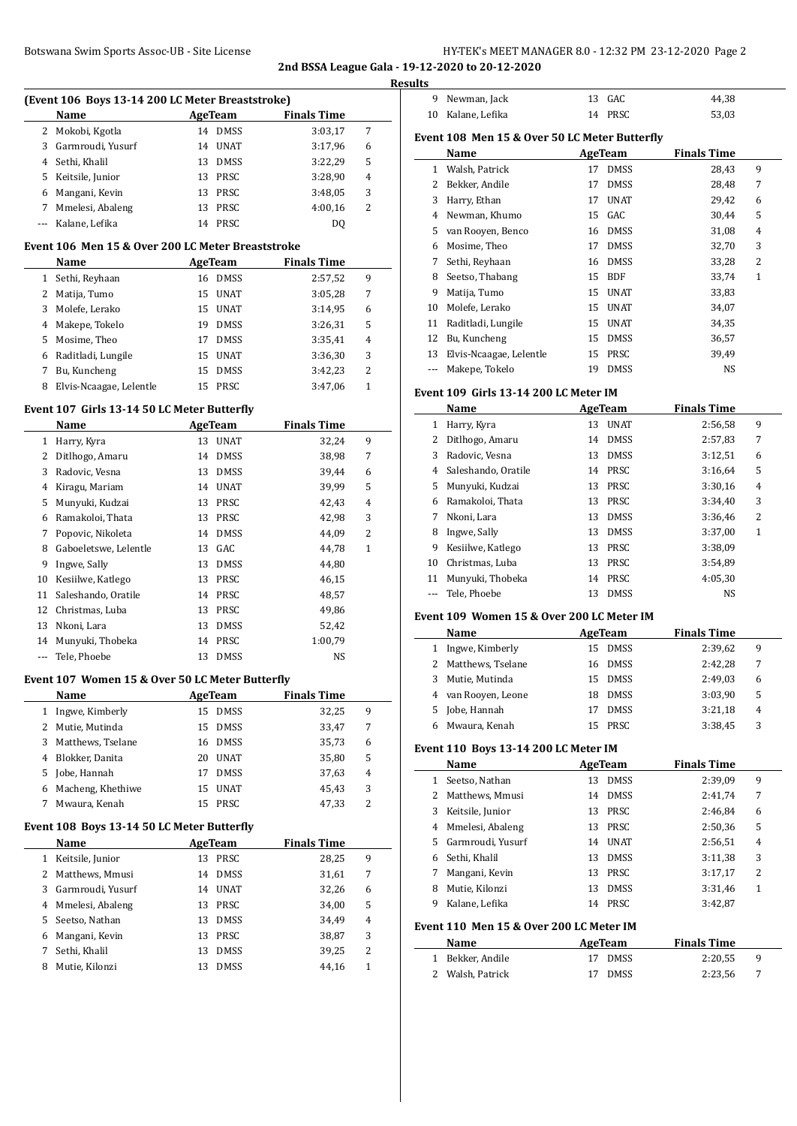# **2nd BSSA League Gala - 19-12-2020 to 20-12-2020**

|                      | Botswana Swim Sports Assoc-UB - Site License      |                   |                    |                | 2nd BSSA League Gala - 19-12-2020 to 20-12-2020 | HY-TEK's MEET MANAGER 8.0 - 12:32 PM 23-12-2020 Page 2 |                    |
|----------------------|---------------------------------------------------|-------------------|--------------------|----------------|-------------------------------------------------|--------------------------------------------------------|--------------------|
|                      |                                                   |                   |                    |                | <b>Results</b>                                  |                                                        |                    |
|                      | (Event 106 Boys 13-14 200 LC Meter Breaststroke)  |                   |                    |                | 9 Newman, Jack                                  | 13 GAC                                                 | 44,38              |
|                      | Name                                              | <b>AgeTeam</b>    | <b>Finals Time</b> |                | 10 Kalane, Lefika                               | 14 PRSC                                                | 53,03              |
|                      | 2 Mokobi, Kgotla                                  | 14 DMSS           | 3:03,17            | 7              |                                                 |                                                        |                    |
| 3                    | Garmroudi, Yusurf                                 | 14 UNAT           | 3:17,96            | 6              | Event 108 Men 15 & Over 50 LC Meter Butterfly   |                                                        |                    |
| 4                    | Sethi, Khalil                                     | 13 DMSS           | 3:22,29            | 5              | Name                                            | <b>AgeTeam</b>                                         | <b>Finals Time</b> |
| 5                    | Keitsile, Junior                                  | 13 PRSC           | 3:28,90            | 4              | 1 Walsh, Patrick                                | 17 DMSS                                                | 28,43              |
| 6                    | Mangani, Kevin                                    | 13 PRSC           | 3:48,05            | 3              | Bekker, Andile<br>2<br>Harry, Ethan             | 17 DMSS                                                | 28,48              |
| 7                    | Mmelesi, Abaleng                                  | PRSC<br>13        | 4:00,16            | $\overline{2}$ | 3<br>Newman, Khumo                              | <b>UNAT</b><br>17<br>GAC<br>15                         | 29,42              |
| $\scriptstyle\cdots$ | Kalane, Lefika                                    | 14 PRSC           | <b>DQ</b>          |                | 4<br>van Rooyen, Benco<br>5                     | 16 DMSS                                                | 30,44<br>31,08     |
|                      | Event 106 Men 15 & Over 200 LC Meter Breaststroke |                   |                    |                | Mosime, Theo<br>6                               | <b>DMSS</b><br>17                                      | 32,70              |
|                      | Name                                              | <b>AgeTeam</b>    | <b>Finals Time</b> |                | Sethi, Reyhaan<br>7                             | <b>DMSS</b><br>16                                      | 33,28              |
|                      | 1 Sethi, Reyhaan                                  | 16 DMSS           | 2:57,52            | 9              | Seetso, Thabang<br>8                            | BDF<br>15                                              | 33,74              |
| 2                    | Matija, Tumo                                      | UNAT<br>15        | 3:05,28            | 7              | 9<br>Matija, Tumo                               | 15<br>UNAT                                             | 33,83              |
| 3                    | Molefe, Lerako                                    | 15<br>UNAT        | 3:14,95            | 6              | Molefe, Lerako<br>10                            | 15 UNAT                                                | 34,07              |
| 4                    | Makepe, Tokelo                                    | <b>DMSS</b><br>19 | 3:26,31            | 5              | Raditladi, Lungile<br>11                        | 15 UNAT                                                | 34,35              |
| 5                    | Mosime, Theo                                      | 17 DMSS           | 3:35,41            | 4              | Bu, Kuncheng<br>12                              | <b>DMSS</b><br>15                                      | 36,57              |
| 6                    | Raditladi, Lungile                                | 15 UNAT           | 3:36,30            | 3              | Elvis-Ncaagae, Lelentle<br>13                   | PRSC<br>15                                             | 39,49              |
| 7                    | Bu, Kuncheng                                      | 15 DMSS           | 3:42,23            | $\overline{2}$ | Makepe, Tokelo<br>$\cdots$                      | 19 DMSS                                                | NS                 |
| 8                    | Elvis-Ncaagae, Lelentle                           | 15 PRSC           | 3:47,06            | 1              | Event 109 Girls 13-14 200 LC Meter IM           |                                                        |                    |
|                      | Event 107 Girls 13-14 50 LC Meter Butterfly       |                   |                    |                | Name                                            | <b>AgeTeam</b>                                         | <b>Finals Time</b> |
|                      | Name                                              | <b>AgeTeam</b>    | <b>Finals Time</b> |                | 1 Harry, Kyra                                   | 13 UNAT                                                | 2:56,58            |
|                      | 1 Harry, Kyra                                     | 13 UNAT           | 32,24              | 9              | 2 Ditlhogo, Amaru                               | 14 DMSS                                                | 2:57,83            |
| 2                    | Ditlhogo, Amaru                                   | 14 DMSS           | 38,98              | 7              | 3<br>Radovic, Vesna                             | 13 DMSS                                                | 3:12,51            |
| 3                    | Radovic, Vesna                                    | 13 DMSS           | 39,44              | 6              | Saleshando, Oratile<br>4                        | 14 PRSC                                                | 3:16,64            |
| 4                    | Kiragu, Mariam                                    | 14 UNAT           | 39,99              | 5              | Munyuki, Kudzai<br>5                            | 13 PRSC                                                | 3:30,16            |
| 5                    | Munyuki, Kudzai                                   | PRSC<br>13        | 42,43              | 4              | Ramakoloi, Thata<br>6                           | PRSC<br>13                                             | 3:34,40            |
| 6                    | Ramakoloi, Thata                                  | PRSC<br>13        | 42,98              | 3              | Nkoni, Lara<br>7                                | 13 DMSS                                                | 3:36,46            |
| 7                    | Popovic, Nikoleta                                 | <b>DMSS</b><br>14 | 44,09              | $\overline{2}$ | Ingwe, Sally<br>8                               | 13 DMSS                                                | 3:37,00            |
| 8                    | Gaboeletswe, Lelentle                             | 13 GAC            | 44,78              | 1              | Kesiilwe, Katlego<br>9                          | 13 PRSC                                                | 3:38,09            |
| 9                    | Ingwe, Sally                                      | 13 DMSS           | 44,80              |                | Christmas, Luba<br>10                           | 13 PRSC                                                | 3:54,89            |
| 10                   | Kesiilwe, Katlego                                 | 13 PRSC           | 46,15              |                | Munyuki, Thobeka<br>11                          | 14 PRSC                                                | 4:05,30            |
| 11                   | Saleshando, Oratile                               | 14 PRSC           | 48,57              |                | --- Tele, Phoebe                                | 13 DMSS                                                | NS                 |
| 12                   | Christmas, Luba                                   | 13 PRSC           | 49,86              |                | Event 109 Women 15 & Over 200 LC Meter IM       |                                                        |                    |
|                      | 13 Nkoni, Lara                                    | 13 DMSS           | 52,42              |                | Name                                            | AgeTeam                                                | <b>Finals Time</b> |
|                      | 14 Munyuki, Thobeka                               | 14 PRSC           | 1:00,79            |                | 1 Ingwe, Kimberly                               | 15 DMSS                                                | 2:39,62            |
| $\scriptstyle\cdots$ | Tele, Phoebe                                      | 13 DMSS           | NS                 |                | Matthews, Tselane<br>2                          | <b>DMSS</b><br>16                                      | 2:42,28            |
|                      | Event 107 Women 15 & Over 50 LC Meter Butterfly   |                   |                    |                | 3<br>Mutie, Mutinda                             | 15 DMSS                                                | 2:49,03            |
|                      | Name                                              | AgeTeam           | <b>Finals Time</b> |                | van Rooyen, Leone<br>4                          | 18 DMSS                                                | 3:03,90            |
|                      | 1 Ingwe, Kimberly                                 | 15 DMSS           | 32,25              | 9              | 5<br>Jobe, Hannah                               | <b>DMSS</b><br>17                                      | 3:21,18            |
|                      | 2 Mutie, Mutinda                                  | 15 DMSS           | 33,47              | 7              | Mwaura, Kenah<br>6                              | 15 PRSC                                                | 3:38,45            |
| 3                    | Matthews, Tselane                                 | <b>DMSS</b><br>16 | 35,73              | 6              |                                                 |                                                        |                    |
| 4                    | Blokker, Danita                                   | 20 UNAT           | 35,80              | 5              | Event 110 Boys 13-14 200 LC Meter IM            |                                                        |                    |
| 5                    | Jobe, Hannah                                      | 17 DMSS           | 37,63              | 4              | Name                                            | <b>AgeTeam</b>                                         | <b>Finals Time</b> |
| 6                    | Macheng, Khethiwe                                 | 15 UNAT           | 45,43              | 3              | 1 Seetso, Nathan                                | 13 DMSS                                                | 2:39,09            |
| 7                    | Mwaura, Kenah                                     | 15 PRSC           | 47,33              | 2              | 2 Matthews, Mmusi                               | 14 DMSS                                                | 2:41,74            |
|                      |                                                   |                   |                    |                | 3<br>Keitsile, Junior                           | 13 PRSC                                                | 2:46,84            |
|                      | Event 108 Boys 13-14 50 LC Meter Butterfly        |                   |                    |                | Mmelesi, Abaleng<br>4                           | 13 PRSC                                                | 2:50,36            |
|                      | Name                                              | <b>AgeTeam</b>    | <b>Finals Time</b> |                | Garmroudi, Yusurf<br>5                          | 14 UNAT                                                | 2:56,51            |
|                      | 1 Keitsile, Junior                                | 13 PRSC           | 28,25              | 9              | Sethi, Khalil<br>6                              | 13 DMSS                                                | 3:11,38            |
|                      | 2 Matthews, Mmusi                                 | 14 DMSS           | 31,61              | 7              | Mangani, Kevin<br>7                             | 13 PRSC                                                | 3:17,17            |
| 3                    | Garmroudi, Yusurf                                 | 14 UNAT           | 32,26              | 6              | Mutie, Kilonzi<br>8                             | 13 DMSS                                                | 3:31,46            |
| 4                    | Mmelesi, Abaleng                                  | 13 PRSC           | 34,00              | 5              | Kalane, Lefika<br>9                             | 14 PRSC                                                | 3:42,87            |
| 5                    | Seetso, Nathan                                    | DMSS<br>13        | 34,49              | 4              | Event 110 Men 15 & Over 200 LC Meter IM         |                                                        |                    |
| 6                    | Mangani, Kevin                                    | 13 PRSC           | 38,87              | 3              | Name                                            | AgeTeam                                                | <b>Finals Time</b> |
| 7                    | Sethi, Khalil                                     | <b>DMSS</b><br>13 | 39,25              | 2              | 1 Bekker, Andile                                | 17 DMSS                                                | 2:20,55            |
| 8                    | Mutie, Kilonzi                                    | 13 DMSS           | 44,16              | $\mathbf{1}$   | 2 Walsh, Patrick                                | 17 DMSS                                                | 2:23,56            |

| lts          |                                               |    |             |                    |              |  |
|--------------|-----------------------------------------------|----|-------------|--------------------|--------------|--|
| 9            | Newman, Jack                                  | 13 | GAC         | 44,38              |              |  |
| 10           | Kalane, Lefika                                | 14 | PRSC        | 53,03              |              |  |
|              | Event 108 Men 15 & Over 50 LC Meter Butterfly |    |             |                    |              |  |
|              | Name                                          |    | AgeTeam     | <b>Finals Time</b> |              |  |
| $\mathbf{1}$ | Walsh, Patrick                                | 17 | <b>DMSS</b> | 28,43              | 9            |  |
| 2            | Bekker, Andile                                | 17 | <b>DMSS</b> | 28,48              | 7            |  |
| 3            | Harry, Ethan                                  | 17 | <b>UNAT</b> | 29,42              | 6            |  |
| 4            | Newman, Khumo                                 | 15 | GAC         | 30,44              | 5            |  |
| 5            | van Rooyen, Benco                             | 16 | <b>DMSS</b> | 31,08              | 4            |  |
| 6            | Mosime, Theo                                  | 17 | <b>DMSS</b> | 32,70              | 3            |  |
| 7            | Sethi, Reyhaan                                | 16 | <b>DMSS</b> | 33,28              | 2            |  |
| 8            | Seetso, Thabang                               | 15 | <b>BDF</b>  | 33,74              | $\mathbf{1}$ |  |
| 9            | Matija, Tumo                                  | 15 | <b>UNAT</b> | 33,83              |              |  |
| 10           | Molefe, Lerako                                | 15 | <b>UNAT</b> | 34,07              |              |  |
| 11           | Raditladi, Lungile                            | 15 | <b>UNAT</b> | 34,35              |              |  |
| 12           | Bu, Kuncheng                                  | 15 | <b>DMSS</b> | 36,57              |              |  |
| 13           | Elvis-Ncaagae, Lelentle                       | 15 | PRSC        | 39,49              |              |  |
| ---          | Makepe, Tokelo                                | 19 | <b>DMSS</b> | <b>NS</b>          |              |  |
|              | Event 109  Girls 13-14 200 LC Meter IM        |    |             |                    |              |  |
|              | Name                                          |    | AgeTeam     | <b>Finals Time</b> |              |  |
| $\mathbf{1}$ | Harry, Kyra                                   | 13 | <b>UNAT</b> | 2:56,58            | 9            |  |
| 2            | Ditlhogo, Amaru                               | 14 | <b>DMSS</b> | 2:57,83            | 7            |  |
| 3            | Radovic, Vesna                                | 13 | <b>DMSS</b> | 3:12.51            | 6            |  |

# Tele, Phoebe 13 DMSS NS **Event 109 Women 15 & Over 200 LC Meter IM**

|    | vent 109  women 15 & Over 200 LC meter ny |     |             |                    |   |  |
|----|-------------------------------------------|-----|-------------|--------------------|---|--|
|    | <b>Name</b>                               |     | AgeTeam     | <b>Finals Time</b> |   |  |
|    | Ingwe, Kimberly                           |     | 15 DMSS     | 2:39,62            | 9 |  |
| 2. | Matthews, Tselane                         |     | 16 DMSS     | 2:42,28            | 7 |  |
| 3  | Mutie, Mutinda                            |     | 15 DMSS     | 2:49.03            | 6 |  |
|    | van Rooven, Leone                         | 18. | DMSS        | 3:03,90            | 5 |  |
| 5. | Jobe, Hannah                              | 17  | <b>DMSS</b> | 3:21,18            | 4 |  |
|    | Mwaura, Kenah                             |     | 15 PRSC     | 3:38,45            | 3 |  |
|    |                                           |     |             |                    |   |  |

# **Event 110 Boys 13-14 200 LC Meter IM**

| Name              | AgeTeam           | <b>Finals Time</b> |   |
|-------------------|-------------------|--------------------|---|
| Seetso, Nathan    | <b>DMSS</b><br>13 | 2:39,09            | 9 |
| Matthews, Mmusi   | <b>DMSS</b><br>14 | 2:41,74            | 7 |
| Keitsile, Junior  | PRSC<br>13        | 2:46,84            | 6 |
| Mmelesi, Abaleng  | <b>PRSC</b><br>13 | 2:50,36            | 5 |
| Garmroudi, Yusurf | <b>UNAT</b><br>14 | 2:56,51            | 4 |
| Sethi, Khalil     | <b>DMSS</b><br>13 | 3:11,38            | 3 |
| Mangani, Kevin    | <b>PRSC</b><br>13 | 3:17,17            | 2 |
| Mutie, Kilonzi    | <b>DMSS</b><br>13 | 3:31,46            | 1 |
| Kalane, Lefika    | <b>PRSC</b><br>14 | 3:42,87            |   |
| 5.                |                   |                    |   |

#### **Event 110 Men 15 & Over 200 LC Meter IM**

| Name             | AgeTeam | <b>Finals Time</b> |    |
|------------------|---------|--------------------|----|
| 1 Bekker, Andile | 17 DMSS | 2:20.55            | -9 |
| 2 Walsh, Patrick | 17 DMSS | 2:23.56            |    |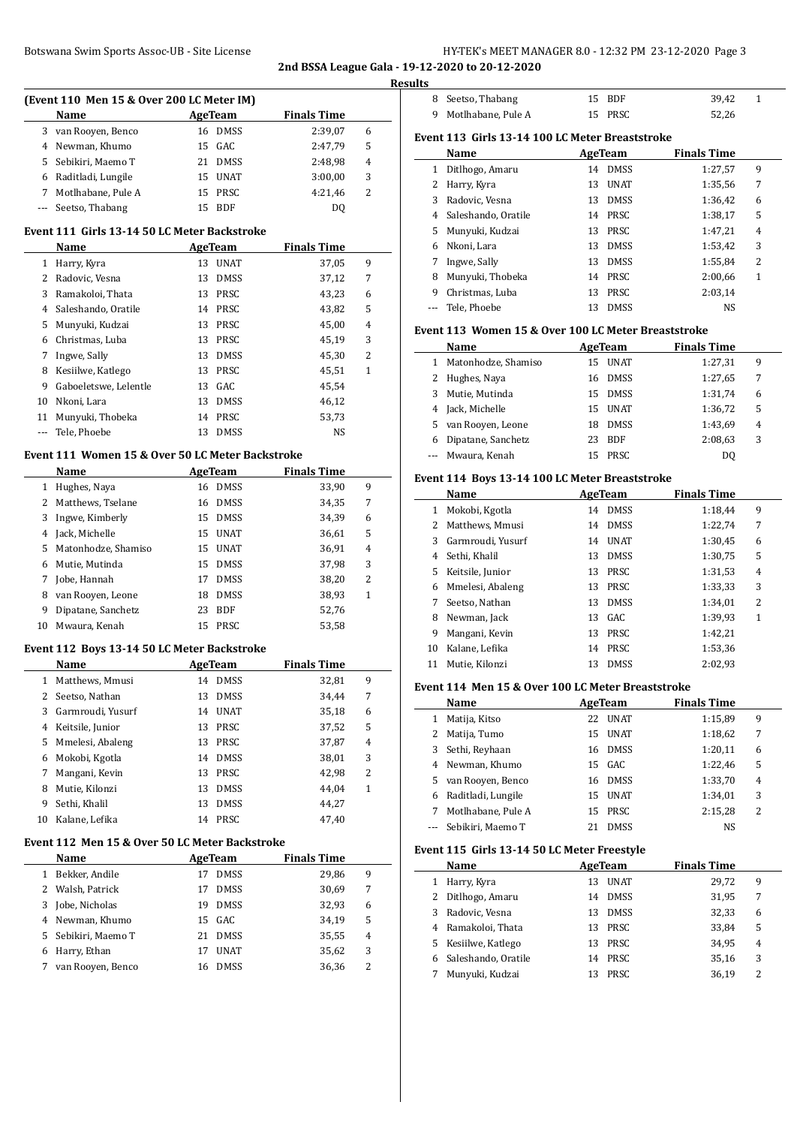## Botswana Swim Sports Assoc-UB - Site License **HY-TEK's MEET MANAGER 8.0 - 12:32 PM 23-12-2020** Page 3 **2nd BSSA League Gala - 19-12-2020 to 20-12-2020**

|    |                                                  |                   |                    |              | 2nd BSSA League Gala - 19-12-2020 to 20-12-2020     |                   |                    |                 |
|----|--------------------------------------------------|-------------------|--------------------|--------------|-----------------------------------------------------|-------------------|--------------------|-----------------|
|    |                                                  |                   |                    |              | <b>Results</b>                                      |                   |                    |                 |
|    | (Event 110 Men 15 & Over 200 LC Meter IM)        |                   |                    |              | 8 Seetso, Thabang                                   | 15 BDF            | 39,42              | $\mathbf{1}$    |
|    | Name                                             | AgeTeam           | <b>Finals Time</b> |              | 9 Motlhabane, Pule A                                | 15 PRSC           | 52,26              |                 |
|    | 3 van Rooyen, Benco                              | 16 DMSS           | 2:39,07            | 6            | Event 113 Girls 13-14 100 LC Meter Breaststroke     |                   |                    |                 |
| 4  | Newman, Khumo                                    | GAC<br>15         | 2:47,79            | 5            | Name                                                | <b>AgeTeam</b>    | <b>Finals Time</b> |                 |
| 5  | Sebikiri, Maemo T                                | 21 DMSS           | 2:48,98            | 4            | 1 Ditlhogo, Amaru                                   | 14 DMSS           | 1:27,57            | 9               |
|    | Raditladi, Lungile                               | UNAT<br>15        | 3:00,00            | 3            |                                                     | 13 UNAT           |                    | $\overline{7}$  |
| 7  | Motlhabane, Pule A                               | 15<br>PRSC        | 4:21,46            | 2            | 2<br>Harry, Kyra                                    |                   | 1:35,56            |                 |
|    | Seetso, Thabang                                  | 15 BDF            | DQ                 |              | 3<br>Radovic, Vesna                                 | <b>DMSS</b><br>13 | 1:36,42            | 6               |
|    |                                                  |                   |                    |              | Saleshando, Oratile<br>4                            | 14 PRSC           | 1:38,17            | 5               |
|    | Event 111  Girls 13-14 50 LC Meter Backstroke    |                   |                    |              | 5<br>Munyuki, Kudzai                                | PRSC<br>13        | 1:47,21            | 4               |
|    | Name                                             | <b>AgeTeam</b>    | <b>Finals Time</b> |              | Nkoni, Lara<br>6                                    | <b>DMSS</b><br>13 | 1:53,42            | 3               |
|    | 1 Harry, Kyra                                    | 13 UNAT           | 37,05              | 9            | Ingwe, Sally<br>7                                   | DMSS<br>13        | 1:55,84            | $\overline{c}$  |
| 2  | Radovic, Vesna                                   | <b>DMSS</b><br>13 | 37,12              | 7            | Munyuki, Thobeka<br>8                               | 14 PRSC           | 2:00,66            | $\mathbf{1}$    |
| 3  | Ramakoloi, Thata                                 | PRSC<br>13        | 43,23              | 6            | Christmas, Luba<br>9                                | 13 PRSC           | 2:03,14            |                 |
| 4  | Saleshando, Oratile                              | 14 PRSC           | 43,82              | 5            | Tele, Phoebe<br>---                                 | 13 DMSS           | NS                 |                 |
| 5  | Munyuki, Kudzai                                  | 13 PRSC           | 45,00              | 4            | Event 113 Women 15 & Over 100 LC Meter Breaststroke |                   |                    |                 |
| 6  | Christmas, Luba                                  | PRSC<br>13        | 45,19              | 3            |                                                     |                   | <b>Finals Time</b> |                 |
| 7  | Ingwe, Sally                                     | <b>DMSS</b><br>13 | 45,30              | 2            | Name                                                | <b>AgeTeam</b>    |                    |                 |
| 8  | Kesiilwe, Katlego                                | PRSC<br>13        | 45,51              | $\mathbf{1}$ | Matonhodze, Shamiso<br>$\mathbf{1}$                 | 15 UNAT           | 1:27,31            | 9               |
| 9  | Gaboeletswe, Lelentle                            | GAC<br>13         | 45,54              |              | 2<br>Hughes, Naya                                   | <b>DMSS</b><br>16 | 1:27,65            | $7\overline{ }$ |
| 10 | Nkoni, Lara                                      | <b>DMSS</b><br>13 | 46,12              |              | 3<br>Mutie, Mutinda                                 | DMSS<br>15        | 1:31,74            | 6               |
| 11 | Munyuki, Thobeka                                 | PRSC<br>14        | 53,73              |              | Jack, Michelle<br>4                                 | UNAT<br>15        | 1:36,72            | 5               |
|    | Tele, Phoebe                                     | 13<br><b>DMSS</b> | <b>NS</b>          |              | 5<br>van Rooyen, Leone                              | <b>DMSS</b><br>18 | 1:43,69            | $\overline{4}$  |
|    |                                                  |                   |                    |              | Dipatane, Sanchetz<br>6                             | 23<br><b>BDF</b>  | 2:08,63            | 3               |
|    | Event 111 Women 15 & Over 50 LC Meter Backstroke |                   |                    |              | Mwaura, Kenah<br>---                                | 15 PRSC           | <b>DQ</b>          |                 |
|    | Name                                             | <b>AgeTeam</b>    | <b>Finals Time</b> |              | Event 114 Boys 13-14 100 LC Meter Breaststroke      |                   |                    |                 |
|    | 1 Hughes, Naya                                   | 16 DMSS           | 33,90              | 9            |                                                     |                   |                    |                 |
|    | 2 Matthews, Tselane                              | DMSS<br>16        | 34,35              | 7            | Name                                                | <b>AgeTeam</b>    | <b>Finals Time</b> |                 |
| 3  | Ingwe, Kimberly                                  | DMSS<br>15        | 34,39              | 6            | 1 Mokobi, Kgotla                                    | 14 DMSS           | 1:18,44            | 9               |
| 4  | Jack, Michelle                                   | UNAT<br>15        | 36,61              | 5            | Matthews, Mmusi<br>2                                | 14 DMSS           | 1:22,74            | 7               |
| 5  | Matonhodze, Shamiso                              | UNAT<br>15        | 36,91              | 4            | Garmroudi, Yusurf<br>3                              | 14 UNAT           | 1:30,45            | 6               |
| 6  | Mutie, Mutinda                                   | DMSS<br>15        | 37,98              | 3            | Sethi, Khalil<br>4                                  | 13 DMSS           | 1:30,75            | 5               |
| 7  | Jobe, Hannah                                     | DMSS<br>17        | 38,20              | 2            | 5<br>Keitsile, Junior                               | PRSC<br>13        | 1:31,53            | 4               |
| 8  | van Rooyen, Leone                                | 18<br><b>DMSS</b> | 38,93              | $\mathbf{1}$ | Mmelesi, Abaleng<br>6                               | PRSC<br>13        | 1:33,33            | 3               |
| 9  | Dipatane, Sanchetz                               | BDF<br>23         | 52,76              |              | Seetso, Nathan<br>7                                 | <b>DMSS</b><br>13 | 1:34,01            | $\overline{2}$  |
|    |                                                  | 15 PRSC           |                    |              | 8<br>Newman, Jack                                   | 13 GAC            | 1:39,93            | $\mathbf{1}$    |
|    | 10 Mwaura, Kenah                                 |                   | 53,58              |              | Mangani, Kevin<br>9                                 | PRSC<br>13        | 1:42,21            |                 |
|    | Event 112 Boys 13-14 50 LC Meter Backstroke      |                   |                    |              | Kalane, Lefika<br>10                                | 14 PRSC           | 1:53,36            |                 |
|    | Name                                             | <b>AgeTeam</b>    | <b>Finals Time</b> |              | 11 Mutie, Kilonzi                                   | 13 DMSS           | 2:02,93            |                 |
|    | 1 Matthews, Mmusi                                | 14 DMSS           | 32,81              | 9            |                                                     |                   |                    |                 |
| 2  | Seetso, Nathan                                   | 13<br>DMSS        | 34,44              | 7            | Event 114 Men 15 & Over 100 LC Meter Breaststroke   |                   |                    |                 |
| 3  | Garmroudi, Yusurf                                | 14 UNAT           | 35,18              | 6            | Name                                                | <b>AgeTeam</b>    | <b>Finals Time</b> |                 |
| 4  | Keitsile, Junior                                 | 13 PRSC           | 37,52              | 5            | 1 Matija, Kitso                                     | 22 UNAT           | 1:15,89            | 9               |
|    |                                                  | 13 PRSC           |                    |              | 2 Matija, Tumo                                      | 15 UNAT           | 1:18,62            | 7               |
| 5  | Mmelesi, Abaleng                                 |                   | 37,87              | 4            | Sethi, Reyhaan<br>3                                 | 16 DMSS           | 1:20,11            | 6               |
| 6  | Mokobi, Kgotla                                   | 14 DMSS           | 38,01              | 3            | Newman, Khumo<br>4                                  | 15 GAC            | 1:22,46            | 5               |
|    | Mangani, Kevin                                   | PRSC<br>13        | 42,98              | 2            | van Rooven, Benco<br>5                              | 16 DMSS           | 1:33,70            | 4               |
| 8  | Mutie, Kilonzi                                   | 13 DMSS           | 44,04              | 1            | Raditladi, Lungile<br>6                             | <b>UNAT</b><br>15 | 1:34,01            | 3               |
| 9  | Sethi, Khalil                                    | 13<br>DMSS        | 44,27              |              | Motlhabane, Pule A<br>7                             | PRSC<br>15        | 2:15,28            | 2               |
| 10 | Kalane, Lefika                                   | 14 PRSC           | 47,40              |              | Sebikiri, Maemo T<br>---                            | 21 DMSS           | NS                 |                 |
|    | Event 112 Men 15 & Over 50 LC Meter Backstroke   |                   |                    |              |                                                     |                   |                    |                 |
|    | Name                                             | <b>AgeTeam</b>    | <b>Finals Time</b> |              | Event 115 Girls 13-14 50 LC Meter Freestyle         |                   |                    |                 |
|    | 1 Bekker, Andile                                 | 17 DMSS           | 29,86              | 9            | Name                                                | <b>AgeTeam</b>    | <b>Finals Time</b> |                 |
|    |                                                  |                   |                    |              | 1 Harry, Kyra                                       | 13 UNAT           | 29,72              | 9               |
| 2  | Walsh, Patrick                                   | DMSS<br>17        | 30,69              | 7            | 2<br>Ditlhogo, Amaru                                | DMSS<br>14        | 31,95              | 7               |
| 3  | Jobe, Nicholas                                   | 19<br>DMSS        | 32,93              | 6            | 3<br>Radovic, Vesna                                 | <b>DMSS</b><br>13 | 32,33              | 6               |
| 4  | Newman, Khumo                                    | GAC<br>15         | 34,19              | 5            | Ramakoloi, Thata<br>4                               | 13 PRSC           | 33,84              | 5               |
| 5  | Sebikiri, Maemo T                                | 21 DMSS           | 35,55              | 4            | Kesiilwe, Katlego<br>5                              | 13 PRSC           | 34,95              | 4               |
|    | 6 Harry, Ethan                                   | 17 UNAT           | 35,62              | 3            | Saleshando, Oratile<br>6                            | 14 PRSC           | 35,16              | 3               |
|    | 7 van Rooyen, Benco                              | 16 DMSS           | 36,36              | 2            | Munyuki, Kudzai<br>7                                | 13 PRSC           | 36,19              | $\overline{c}$  |
|    |                                                  |                   |                    |              |                                                     |                   |                    |                 |
|    |                                                  |                   |                    |              |                                                     |                   |                    |                 |
|    |                                                  |                   |                    |              |                                                     |                   |                    |                 |
|    |                                                  |                   |                    |              |                                                     |                   |                    |                 |
|    |                                                  |                   |                    |              |                                                     |                   |                    |                 |

| Seetso, Thabang     | 15                     | <b>BDF</b>  | 39,42                                                              | $\mathbf{1}$                                                                                                                                                                                                                |
|---------------------|------------------------|-------------|--------------------------------------------------------------------|-----------------------------------------------------------------------------------------------------------------------------------------------------------------------------------------------------------------------------|
| Motlhabane, Pule A  | 15                     | PRSC        | 52,26                                                              |                                                                                                                                                                                                                             |
|                     |                        |             |                                                                    |                                                                                                                                                                                                                             |
| Name                |                        |             | <b>Finals Time</b>                                                 |                                                                                                                                                                                                                             |
| Ditlhogo, Amaru     | 14                     | <b>DMSS</b> | 1:27,57                                                            | 9                                                                                                                                                                                                                           |
| Harry, Kyra         | 13                     | <b>UNAT</b> | 1:35,56                                                            | 7                                                                                                                                                                                                                           |
| Radovic, Vesna      | 13                     | <b>DMSS</b> | 1:36,42                                                            | 6                                                                                                                                                                                                                           |
| Saleshando, Oratile |                        |             | 1:38,17                                                            | 5                                                                                                                                                                                                                           |
| Munyuki, Kudzai     | 13                     | PRSC        | 1:47,21                                                            | 4                                                                                                                                                                                                                           |
| Nkoni, Lara         | 13                     | <b>DMSS</b> | 1:53,42                                                            | 3                                                                                                                                                                                                                           |
| Ingwe, Sally        | 13                     | <b>DMSS</b> | 1:55,84                                                            | 2                                                                                                                                                                                                                           |
| Munyuki, Thobeka    | 14                     | PRSC        | 2:00,66                                                            | $\mathbf{1}$                                                                                                                                                                                                                |
| Christmas, Luba     | 13                     | PRSC        | 2:03,14                                                            |                                                                                                                                                                                                                             |
| Tele, Phoebe        | 13                     | <b>DMSS</b> | <b>NS</b>                                                          |                                                                                                                                                                                                                             |
|                     |                        |             |                                                                    |                                                                                                                                                                                                                             |
|                     |                        |             |                                                                    |                                                                                                                                                                                                                             |
| Matonhodze, Shamiso | 15                     |             | 1:27,31                                                            | 9                                                                                                                                                                                                                           |
| Hughes, Naya        | 16                     | <b>DMSS</b> | 1:27,65                                                            | 7                                                                                                                                                                                                                           |
| Mutie, Mutinda      | 15                     | <b>DMSS</b> | 1:31,74                                                            | 6                                                                                                                                                                                                                           |
| Jack, Michelle      | 15                     | <b>UNAT</b> | 1:36,72                                                            | 5                                                                                                                                                                                                                           |
| van Rooyen, Leone   | 18                     | <b>DMSS</b> | 1:43,69                                                            | 4                                                                                                                                                                                                                           |
| Dipatane, Sanchetz  | 23                     | <b>BDF</b>  | 2:08,63                                                            | 3                                                                                                                                                                                                                           |
| Mwaura, Kenah       | 15                     | PRSC        | D <sub>0</sub>                                                     |                                                                                                                                                                                                                             |
|                     |                        |             |                                                                    |                                                                                                                                                                                                                             |
| Name                |                        |             |                                                                    |                                                                                                                                                                                                                             |
|                     |                        |             |                                                                    | 9                                                                                                                                                                                                                           |
| Matthews, Mmusi     | 14                     | <b>DMSS</b> | 1:22,74                                                            | 7                                                                                                                                                                                                                           |
| Garmroudi, Yusurf   | 14                     | <b>UNAT</b> |                                                                    | 6                                                                                                                                                                                                                           |
| Sethi, Khalil       | 13                     | <b>DMSS</b> | 1:30,75                                                            | 5                                                                                                                                                                                                                           |
| Keitsile, Junior    | 13                     | PRSC        | 1:31,53                                                            | 4                                                                                                                                                                                                                           |
| Mmelesi, Abaleng    | 13                     | PRSC        | 1:33,33                                                            | 3                                                                                                                                                                                                                           |
| Seetso, Nathan      | 13                     | <b>DMSS</b> | 1:34,01                                                            | $\overline{2}$                                                                                                                                                                                                              |
|                     | Name<br>Mokobi, Kgotla |             | <b>AgeTeam</b><br>14 PRSC<br>AgeTeam<br>UNAT<br>AgeTeam<br>14 DMSS | Event 113  Girls 13-14 100 LC Meter Breaststroke<br>Event 113 Women 15 & Over 100 LC Meter Breaststroke<br><b>Finals Time</b><br>Event 114 Boys 13-14 100 LC Meter Breaststroke<br><b>Finals Time</b><br>1:18,44<br>1:30,45 |

# Mutie, Kilonzi 13 DMSS 2:02,93

# **Event 114 Men 15 & Over 100 LC Meter Breaststroke**

|   | Name               |    | AgeTeam     | <b>Finals Time</b> |   |  |
|---|--------------------|----|-------------|--------------------|---|--|
| 1 | Matija, Kitso      | 22 | <b>UNAT</b> | 1:15,89            | 9 |  |
| 2 | Matija, Tumo       | 15 | <b>UNAT</b> | 1:18,62            | 7 |  |
| 3 | Sethi, Reyhaan     | 16 | DMSS        | 1:20,11            | 6 |  |
| 4 | Newman, Khumo      |    | 15 GAC      | 1:22,46            | 5 |  |
| 5 | van Rooyen, Benco  | 16 | DMSS        | 1:33,70            | 4 |  |
| 6 | Raditladi, Lungile | 15 | <b>UNAT</b> | 1:34,01            | 3 |  |
| 7 | Motlhabane, Pule A | 15 | PRSC        | 2:15,28            | 2 |  |
|   | Sebikiri, Maemo T  |    | <b>DMSS</b> | NS                 |   |  |

### **Event 115 Girls 13-14 50 LC Meter Freestyle**

|   | <b>Name</b>         | AgeTeam |             | <b>Finals Time</b> |   |  |
|---|---------------------|---------|-------------|--------------------|---|--|
|   | Harry, Kyra         | 13      | <b>UNAT</b> | 29,72              | 9 |  |
| 2 | Ditlhogo, Amaru     | 14      | <b>DMSS</b> | 31,95              | 7 |  |
| 3 | Radovic, Vesna      | 13      | <b>DMSS</b> | 32,33              | 6 |  |
| 4 | Ramakoloi, Thata    | 13      | PRSC        | 33,84              | 5 |  |
|   | 5 Kesiilwe, Katlego | 13      | <b>PRSC</b> | 34,95              | 4 |  |
| 6 | Saleshando, Oratile | 14      | PRSC        | 35,16              | 3 |  |
|   | Munyuki, Kudzai     |         | PRSC        | 36,19              | 2 |  |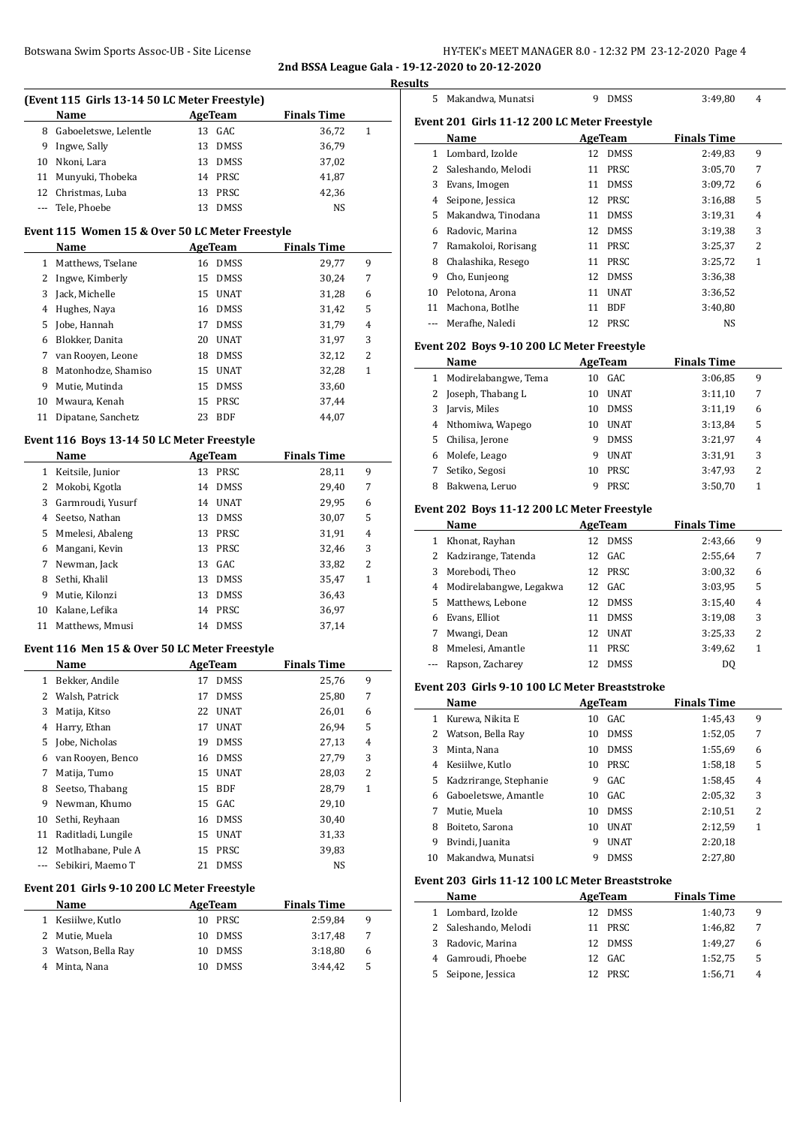### Botswana Swim Sports Assoc-UB - Site License **HY-TEK's MEET MANAGER 8.0 - 12:32 PM 23-12-2020** Page 4 **2nd BSSA League Gala - 19-12-2020 to 20-12-2020**

**Results**

|              | (Event 115 Girls 13-14 50 LC Meter Freestyle)<br>Name | <b>AgeTeam</b>    | <b>Finals Time</b> |              |
|--------------|-------------------------------------------------------|-------------------|--------------------|--------------|
| 8            | Gaboeletswe, Lelentle                                 | 13 GAC            | 36,72              | 1            |
| 9.           | Ingwe, Sally                                          | 13<br><b>DMSS</b> | 36,79              |              |
| 10           | Nkoni, Lara                                           | 13<br><b>DMSS</b> | 37,02              |              |
| 11           | Munyuki, Thobeka                                      | 14<br>PRSC        | 41,87              |              |
| 12           | Christmas, Luba                                       | 13<br>PRSC        | 42,36              |              |
| ---          | Tele, Phoebe                                          | 13<br><b>DMSS</b> | NS                 |              |
|              | Event 115 Women 15 & Over 50 LC Meter Freestyle       |                   |                    |              |
|              | Name                                                  | <b>AgeTeam</b>    | <b>Finals Time</b> |              |
|              | 1 Matthews, Tselane                                   | 16 DMSS           | 29,77              | 9            |
|              | 2 Ingwe, Kimberly                                     | 15 DMSS           | 30,24              | 7            |
| 3            | Jack, Michelle                                        | 15 UNAT           | 31,28              | 6            |
|              | 4 Hughes, Naya                                        | 16 DMSS           | 31,42              | 5            |
| 5.           | Jobe, Hannah                                          | DMSS<br>17        | 31,79              | 4            |
|              | 6 Blokker, Danita                                     | 20<br>UNAT        | 31,97              | 3            |
|              | 7 van Rooyen, Leone                                   | 18 DMSS           | 32,12              | 2            |
| 8            | Matonhodze, Shamiso                                   | 15<br><b>UNAT</b> | 32,28              | 1            |
| 9            | Mutie, Mutinda                                        | 15<br>DMSS        | 33,60              |              |
|              | 10 Mwaura, Kenah                                      | 15<br>PRSC        | 37,44              |              |
|              | 11 Dipatane, Sanchetz                                 | 23<br><b>BDF</b>  | 44,07              |              |
|              | Event 116 Boys 13-14 50 LC Meter Freestyle            |                   |                    |              |
|              | Name                                                  | <b>AgeTeam</b>    | <b>Finals Time</b> |              |
|              | 1 Keitsile, Junior                                    | 13 PRSC           | 28,11              | 9            |
|              | 2 Mokobi, Kgotla                                      | 14 DMSS           | 29,40              | 7            |
| 3            | Garmroudi, Yusurf                                     | 14 UNAT           | 29,95              | 6            |
| 4            | Seetso, Nathan                                        | 13 DMSS           | 30,07              | 5            |
| 5.           | Mmelesi, Abaleng                                      | 13<br>PRSC        | 31,91              | 4            |
| 6            | Mangani, Kevin                                        | 13 PRSC           | 32,46              | 3            |
| 7            | Newman, Jack                                          | GAC<br>13         | 33,82              | 2            |
| 8            | Sethi, Khalil                                         | 13<br><b>DMSS</b> | 35,47              | 1            |
| 9            | Mutie, Kilonzi                                        | 13<br>DMSS        | 36,43              |              |
| 10           | Kalane, Lefika                                        | PRSC<br>14        | 36,97              |              |
|              | 11 Matthews, Mmusi                                    | 14<br>DMSS        | 37,14              |              |
|              | Event 116 Men 15 & Over 50 LC Meter Freestyle         |                   |                    |              |
|              | Name                                                  | <b>AgeTeam</b>    | <b>Finals Time</b> |              |
| 1            | Bekker, Andile                                        | 17<br>DMSS        | 25,76              | 9            |
| 2            | Walsh, Patrick                                        | 17<br><b>DMSS</b> | 25,80              | 7            |
| 3            | Matija, Kitso                                         | 22 UNAT           | 26,01              | 6            |
| 4            | Harry, Ethan                                          | 17 UNAT           | 26,94              | 5            |
| 5            | Jobe, Nicholas                                        | 19 DMSS           | 27,13              | 4            |
| 6            | van Rooyen, Benco                                     | 16 DMSS           | 27,79              | 3            |
| 7            | Matija, Tumo                                          | 15 UNAT           | 28,03              | 2            |
| 8            | Seetso, Thabang                                       | 15 BDF            | 28,79              | $\mathbf{1}$ |
| 9.           | Newman, Khumo                                         | 15 GAC            | 29,10              |              |
| 10           | Sethi, Reyhaan                                        | 16 DMSS           | 30,40              |              |
|              | Raditladi, Lungile                                    | 15 UNAT           | 31,33              |              |
| 11           | 12 Motlhabane, Pule A                                 | 15<br>PRSC        | 39,83              |              |
|              |                                                       | 21<br><b>DMSS</b> | NS                 |              |
| ---          | Sebikiri, Maemo T                                     |                   |                    |              |
|              | Event 201 Girls 9-10 200 LC Meter Freestyle           |                   |                    |              |
|              | Name                                                  | <b>AgeTeam</b>    | <b>Finals Time</b> |              |
|              | 1 Kesiilwe, Kutlo                                     | 10 PRSC           | 2:59,84            | 9            |
| $\mathbf{2}$ | Mutie, Muela                                          | 10 DMSS           | 3:17,48            | 7            |
| 3            | Watson, Bella Ray                                     | 10 DMSS           | 3:18,80            | 6            |

| lts          |                                               |    |                |                    |   |
|--------------|-----------------------------------------------|----|----------------|--------------------|---|
| 5            | Makandwa, Munatsi                             | 9  | <b>DMSS</b>    | 3:49,80            | 4 |
|              |                                               |    |                |                    |   |
|              | Event 201  Girls 11-12 200 LC Meter Freestyle |    |                |                    |   |
|              | Name                                          |    | <b>AgeTeam</b> | <b>Finals Time</b> |   |
| $\mathbf{1}$ | Lombard, Izolde                               | 12 | <b>DMSS</b>    | 2:49,83            | 9 |
| 2            | Saleshando, Melodi                            | 11 | PRSC           | 3:05,70            | 7 |
| 3            | Evans, Imogen                                 | 11 | <b>DMSS</b>    | 3:09,72            | 6 |
| 4            | Seipone, Jessica                              | 12 | <b>PRSC</b>    | 3:16,88            | 5 |
| 5            | Makandwa, Tinodana                            | 11 | <b>DMSS</b>    | 3:19,31            | 4 |
| 6            | Radovic, Marina                               | 12 | <b>DMSS</b>    | 3:19,38            | 3 |
| 7            | Ramakoloi, Rorisang                           | 11 | PRSC           | 3:25,37            | 2 |
| 8            | Chalashika, Resego                            | 11 | PRSC           | 3:25,72            | 1 |
| 9            | Cho, Eunjeong                                 | 12 | <b>DMSS</b>    | 3:36,38            |   |
| 10           | Pelotona, Arona                               | 11 | <b>UNAT</b>    | 3:36,52            |   |
| 11           | Machona, Botlhe                               | 11 | <b>BDF</b>     | 3:40,80            |   |
|              | Merafhe, Naledi                               | 12 | PRSC           | <b>NS</b>          |   |
|              | Event 202 Boys 9-10 200 LC Meter Freestyle    |    |                |                    |   |
|              | Name                                          |    | <b>AgeTeam</b> | <b>Finals Time</b> |   |
| 1            | Modirelabangwe, Tema                          | 10 | GAC            | 3:06,85            | 9 |
| 2            | Joseph, Thabang L                             | 10 | <b>UNAT</b>    | 3:11,10            | 7 |
| ર            | Iarvic Milec                                  |    | 10 DMSS        | 3.1119             | 6 |

| 3  | Jarvis, Miles      | 10. | DMSS        | 3:11,19 | 6 |
|----|--------------------|-----|-------------|---------|---|
|    | 4 Nthomiwa, Wapego | 10  | <b>UNAT</b> | 3:13,84 | 5 |
| 5. | Chilisa, Jerone    |     | <b>DMSS</b> | 3:21,97 | 4 |
|    | 6 Molefe, Leago    |     | <b>UNAT</b> | 3:31,91 | 3 |
|    | Setiko, Segosi     | 10  | PRSC        | 3:47,93 | 2 |
|    | Bakwena, Leruo     |     | PRSC.       | 3:50,70 |   |
|    |                    |     |             |         |   |

### **Event 202 Boys 11-12 200 LC Meter Freestyle**

|    | Name                      | AgeTeam |             | <b>Finals Time</b> |   |
|----|---------------------------|---------|-------------|--------------------|---|
| 1  | Khonat, Rayhan            |         | 12 DMSS     | 2:43,66            | 9 |
|    | 2 Kadzirange, Tatenda     |         | 12 GAC      | 2:55,64            | 7 |
|    | 3 Morebodi, Theo          |         | 12 PRSC     | 3:00,32            | 6 |
|    | 4 Modirelabangwe, Legakwa |         | 12 GAC      | 3:03.95            | 5 |
| 5. | Matthews, Lebone          |         | 12 DMSS     | 3:15,40            | 4 |
| 6  | Evans, Elliot             | 11      | <b>DMSS</b> | 3:19,08            | 3 |
| 7  | Mwangi, Dean              | 12      | <b>UNAT</b> | 3:25,33            | 2 |
| 8  | Mmelesi, Amantle          | 11      | PRSC        | 3:49.62            | 1 |
|    | Rapson, Zacharey          | 12      | <b>DMSS</b> | DO                 |   |

#### **Event 203 Girls 9-10 100 LC Meter Breaststroke**

|    | Name                   |    | AgeTeam     | <b>Finals Time</b> |   |  |
|----|------------------------|----|-------------|--------------------|---|--|
| 1  | Kurewa, Nikita E       | 10 | GAC         | 1:45,43            | 9 |  |
| 2  | Watson, Bella Rav      | 10 | <b>DMSS</b> | 1:52,05            | 7 |  |
| 3  | Minta, Nana            | 10 | <b>DMSS</b> | 1:55,69            | 6 |  |
| 4  | Kesiilwe, Kutlo        | 10 | <b>PRSC</b> | 1:58,18            | 5 |  |
| 5. | Kadzrirange, Stephanie | 9  | GAC.        | 1:58,45            | 4 |  |
| 6  | Gaboeletswe, Amantle   | 10 | GAC.        | 2:05.32            | 3 |  |
| 7  | Mutie, Muela           | 10 | <b>DMSS</b> | 2:10,51            | 2 |  |
| 8  | Boiteto, Sarona        | 10 | <b>UNAT</b> | 2:12,59            | 1 |  |
| 9  | Bvindi, Juanita        | 9  | <b>UNAT</b> | 2:20,18            |   |  |
| 10 | Makandwa. Munatsi      | 9  | <b>DMSS</b> | 2:27,80            |   |  |

### **Event 203 Girls 11-12 100 LC Meter Breaststroke**

|   | Name                 | AgeTeam     | <b>Finals Time</b> |   |
|---|----------------------|-------------|--------------------|---|
|   | 1 Lombard, Izolde    | 12 DMSS     | 1:40.73            | 9 |
|   | 2 Saleshando, Melodi | 11 PRSC     | 1:46,82            | 7 |
|   | 3 Radovic, Marina    | 12 DMSS     | 1:49.27            | 6 |
|   | 4 Gamroudi, Phoebe   | 12 GAC      | 1:52.75            | 5 |
| 5 | Seipone, Jessica     | <b>PRSC</b> | 1:56,71            | 4 |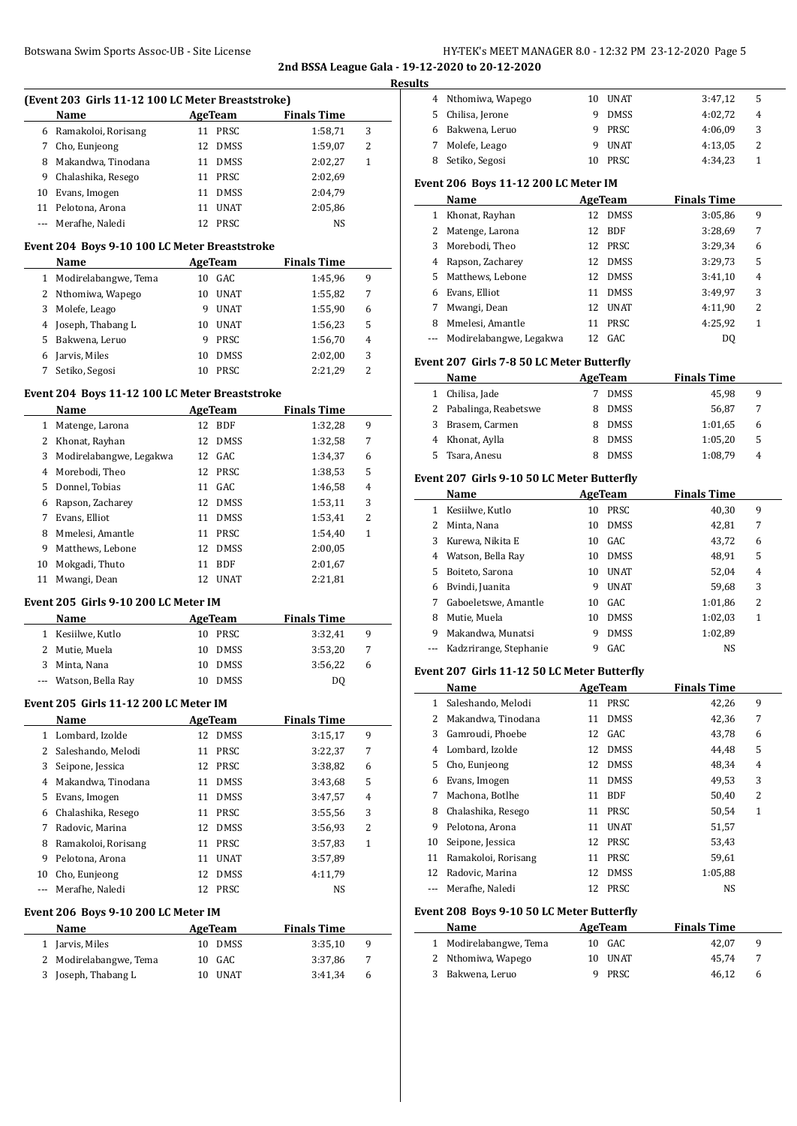# Botswana Swim Sports Assoc-UB - Site License **HY-TEK's MEET MANAGER 8.0 - 12:32 PM 23-12-2020** Page 5 **2nd BSSA League Gala - 19-12-2020 to 20-12-2020**

**Results**

|              | (Event 203 Girls 11-12 100 LC Meter Breaststroke) |        |                |                    |              |
|--------------|---------------------------------------------------|--------|----------------|--------------------|--------------|
|              | Name                                              |        | <b>AgeTeam</b> | <b>Finals Time</b> |              |
|              | 6 Ramakoloi, Rorisang                             | 11     | PRSC           | 1:58,71            | 3            |
|              | 7 Cho, Eunjeong                                   | 12     | DMSS           | 1:59,07            | 2            |
| 8            | Makandwa, Tinodana                                |        | 11 DMSS        | 2:02,27            | $\mathbf{1}$ |
| 9            | Chalashika, Resego                                | 11     | PRSC           | 2:02,69            |              |
| 10           | Evans, Imogen                                     | 11     | <b>DMSS</b>    | 2:04,79            |              |
| 11           | Pelotona, Arona                                   | 11     | <b>UNAT</b>    | 2:05,86            |              |
| ---          | Merafhe, Naledi                                   | 12     | PRSC           | NS                 |              |
|              | Event 204 Boys 9-10 100 LC Meter Breaststroke     |        |                |                    |              |
|              | Name                                              |        | <b>AgeTeam</b> | <b>Finals Time</b> |              |
| 1            | Modirelabangwe, Tema                              | 10     | GAC            | 1:45,96            | 9            |
|              | 2 Nthomiwa, Wapego                                | 10     | <b>UNAT</b>    | 1:55,82            | 7            |
|              | 3 Molefe, Leago                                   |        | 9 UNAT         | 1:55,90            | 6            |
|              | 4 Joseph, Thabang L                               |        | 10 UNAT        | 1:56,23            | 5            |
|              | 5 Bakwena, Leruo                                  | 9      | PRSC           | 1:56,70            | 4            |
|              | 6 Jarvis, Miles                                   | 10     | <b>DMSS</b>    | 2:02,00            | 3            |
| 7            | Setiko, Segosi                                    | 10     | PRSC           | 2:21,29            | 2            |
|              | Event 204 Boys 11-12 100 LC Meter Breaststroke    |        |                |                    |              |
|              | Name                                              |        | <b>AgeTeam</b> | <b>Finals Time</b> |              |
| 1            | Matenge, Larona                                   | 12     | <b>BDF</b>     | 1:32,28            | 9            |
| 2            | Khonat, Rayhan                                    | 12     | <b>DMSS</b>    | 1:32,58            | 7            |
| 3            | Modirelabangwe, Legakwa                           | 12     | GAC            |                    | 6            |
|              |                                                   |        |                | 1:34,37            |              |
| 4            | Morebodi, Theo                                    | 12     | PRSC           | 1:38,53            | 5            |
| 5            | Donnel, Tobias                                    | 11     | GAC            | 1:46,58            | 4            |
| 6            | Rapson, Zacharey                                  | 12     | DMSS           | 1:53,11            | 3            |
| 7            | Evans, Elliot                                     |        | 11 DMSS        | 1:53,41            | 2            |
| 8            | Mmelesi, Amantle                                  |        | 11 PRSC        | 1:54,40            | 1            |
| 9            | Matthews, Lebone                                  | 12     | <b>DMSS</b>    | 2:00,05            |              |
| 10           | Mokgadi, Thuto                                    | 11     | <b>BDF</b>     | 2:01,67            |              |
| 11           | Mwangi, Dean                                      | 12     | UNAT           | 2:21,81            |              |
|              | Event 205 Girls 9-10 200 LC Meter IM              |        |                |                    |              |
|              | Name                                              |        | AgeTeam        | <b>Finals Time</b> |              |
| 1            | Kesiilwe, Kutlo                                   | 10     | PRSC           | 3:32,41            | 9            |
| 2            | Mutie, Muela                                      | 10     | <b>DMSS</b>    | 3:53,20            | 7            |
| 3            | Minta, Nana                                       | 10     | <b>DMSS</b>    | 3:56,22            | 6            |
|              | Watson, Bella Ray                                 | $10\,$ | DMSS           | DQ                 |              |
|              | Event 205 Girls 11-12 200 LC Meter IM             |        |                |                    |              |
|              | Name                                              |        | <b>AgeTeam</b> | <b>Finals Time</b> |              |
| $\mathbf{1}$ | Lombard, Izolde                                   | 12     | <b>DMSS</b>    | 3:15,17            | 9            |
| 2            | Saleshando, Melodi                                | 11     | PRSC           | 3:22,37            | 7            |
|              | 3 Seipone, Jessica                                |        | 12 PRSC        | 3:38,82            | 6            |
|              | 4 Makandwa, Tinodana                              |        | 11 DMSS        | 3:43,68            | 5            |
| 5            | Evans, Imogen                                     | 11     | DMSS           | 3:47,57            | 4            |
|              | 6 Chalashika, Resego                              |        | 11 PRSC        | 3:55,56            | 3            |
| 7            | Radovic, Marina                                   | 12     | DMSS           | 3:56,93            | 2            |
| 8            | Ramakoloi, Rorisang                               | 11     | PRSC           | 3:57,83            | $\mathbf{1}$ |
| 9            | Pelotona, Arona                                   | 11     | <b>UNAT</b>    | 3:57,89            |              |
| 10           | Cho, Eunjeong                                     | 12     | DMSS           | 4:11,79            |              |
| ---          | Merafhe, Naledi                                   | 12     | PRSC           | NS                 |              |
|              | Event 206 Boys 9-10 200 LC Meter IM               |        |                |                    |              |
|              | Name                                              |        | <b>AgeTeam</b> | <b>Finals Time</b> |              |
| $\mathbf{1}$ | Jarvis, Miles                                     | 10     | <b>DMSS</b>    | 3:35,10            | 9            |
| 2            | Modirelabangwe, Tema                              | 10     | GAC            | 3:37,86            | 7            |
| 3            | Joseph, Thabang L                                 | 10     | <b>UNAT</b>    | 3:41,34            | 6            |
|              |                                                   |        |                |                    |              |

| 4 Nthomiwa, Wapego              |   |             | 3:47,12                                                                                                                                                                                                                                                                                                                                                                                                                                                                  | 5            |
|---------------------------------|---|-------------|--------------------------------------------------------------------------------------------------------------------------------------------------------------------------------------------------------------------------------------------------------------------------------------------------------------------------------------------------------------------------------------------------------------------------------------------------------------------------|--------------|
| 5 Chilisa, Jerone               |   |             | 4:02,72                                                                                                                                                                                                                                                                                                                                                                                                                                                                  | 4            |
| 6 Bakwena, Leruo                |   |             | 4:06.09                                                                                                                                                                                                                                                                                                                                                                                                                                                                  | 3            |
| 7 Molefe, Leago                 |   |             | 4:13,05                                                                                                                                                                                                                                                                                                                                                                                                                                                                  | 2            |
| 8 Setiko, Segosi                |   |             | 4:34,23                                                                                                                                                                                                                                                                                                                                                                                                                                                                  | 1            |
|                                 |   |             |                                                                                                                                                                                                                                                                                                                                                                                                                                                                          |              |
| Name                            |   |             | <b>Finals Time</b>                                                                                                                                                                                                                                                                                                                                                                                                                                                       |              |
| 1 Khonat, Rayhan                |   | <b>DMSS</b> | 3:05,86                                                                                                                                                                                                                                                                                                                                                                                                                                                                  | 9            |
| Matenge, Larona<br>$\mathbf{2}$ |   | <b>BDF</b>  | 3:28,69                                                                                                                                                                                                                                                                                                                                                                                                                                                                  | 7            |
| Morebodi, Theo<br>3             |   |             | 3:29,34                                                                                                                                                                                                                                                                                                                                                                                                                                                                  | 6            |
| 4 Rapson, Zacharey              |   |             | 3:29,73                                                                                                                                                                                                                                                                                                                                                                                                                                                                  | 5            |
| 5 Matthews, Lebone              |   |             | 3:41,10                                                                                                                                                                                                                                                                                                                                                                                                                                                                  | 4            |
| 6 Evans, Elliot                 |   |             | 3:49,97                                                                                                                                                                                                                                                                                                                                                                                                                                                                  | 3            |
| 7 Mwangi, Dean                  |   |             | 4:11,90                                                                                                                                                                                                                                                                                                                                                                                                                                                                  | 2            |
| 8 Mmelesi, Amantle              |   |             | 4:25,92                                                                                                                                                                                                                                                                                                                                                                                                                                                                  | $\mathbf{1}$ |
| Modirelabangwe, Legakwa<br>---  |   |             | D <sub>0</sub>                                                                                                                                                                                                                                                                                                                                                                                                                                                           |              |
|                                 |   |             |                                                                                                                                                                                                                                                                                                                                                                                                                                                                          |              |
| <b>Name</b>                     |   |             | <b>Finals Time</b>                                                                                                                                                                                                                                                                                                                                                                                                                                                       |              |
| 1 Chilisa, Jade                 |   |             | 45,98                                                                                                                                                                                                                                                                                                                                                                                                                                                                    | 9            |
| 2 Pabalinga, Reabetswe          |   |             | 56,87                                                                                                                                                                                                                                                                                                                                                                                                                                                                    | 7            |
| 3 Brasem, Carmen                |   |             | 1:01,65                                                                                                                                                                                                                                                                                                                                                                                                                                                                  | 6            |
| 4 Khonat, Aylla                 |   |             | 1:05,20                                                                                                                                                                                                                                                                                                                                                                                                                                                                  | 5            |
| Tsara, Anesu                    |   |             | 1:08,79                                                                                                                                                                                                                                                                                                                                                                                                                                                                  | 4            |
|                                 |   |             |                                                                                                                                                                                                                                                                                                                                                                                                                                                                          |              |
| Name                            |   |             | <b>Finals Time</b>                                                                                                                                                                                                                                                                                                                                                                                                                                                       |              |
| 1 Kesiilwe, Kutlo               |   |             | 40,30                                                                                                                                                                                                                                                                                                                                                                                                                                                                    | 9            |
| 2 Minta, Nana                   |   |             | 42,81                                                                                                                                                                                                                                                                                                                                                                                                                                                                    | 7            |
| 3<br>Kurewa, Nikita E           |   |             | 43,72                                                                                                                                                                                                                                                                                                                                                                                                                                                                    | 6            |
| 4 Watson, Bella Ray             |   |             | 48,91                                                                                                                                                                                                                                                                                                                                                                                                                                                                    | 5            |
| Boiteto, Sarona                 |   |             | 52,04                                                                                                                                                                                                                                                                                                                                                                                                                                                                    | 4            |
| 6 Bvindi, Juanita               |   |             | 59,68                                                                                                                                                                                                                                                                                                                                                                                                                                                                    | 3            |
| 7 Gaboeletswe, Amantle          |   |             | 1:01,86                                                                                                                                                                                                                                                                                                                                                                                                                                                                  | 2            |
| Mutie, Muela                    |   |             | 1:02,03                                                                                                                                                                                                                                                                                                                                                                                                                                                                  | 1            |
| Makandwa, Munatsi               | 9 | <b>DMSS</b> | 1:02,89                                                                                                                                                                                                                                                                                                                                                                                                                                                                  |              |
|                                 |   |             |                                                                                                                                                                                                                                                                                                                                                                                                                                                                          |              |
| Kadzrirange, Stephanie<br>---   | 9 | GAC         | NS                                                                                                                                                                                                                                                                                                                                                                                                                                                                       |              |
|                                 |   |             | 10 UNAT<br>9 DMSS<br>9 PRSC<br>9 UNAT<br>10 PRSC<br>Event 206 Boys 11-12 200 LC Meter IM<br><b>AgeTeam</b><br>12<br>12<br>12 PRSC<br>12 DMSS<br>12 DMSS<br>11 DMSS<br>12 UNAT<br>11 PRSC<br>12 GAC<br>Event 207 Girls 7-8 50 LC Meter Butterfly<br><b>AgeTeam</b><br>7 DMSS<br>8 DMSS<br>8 DMSS<br>8 DMSS<br>8 DMSS<br>Event 207 Girls 9-10 50 LC Meter Butterfly<br><b>AgeTeam</b><br>10 PRSC<br>10 DMSS<br>10 GAC<br>10 DMSS<br>10 UNAT<br>9 UNAT<br>10 GAC<br>10 DMSS |              |

### **Event 207 Girls 11-12 50 LC Meter Butterfly**

|    | Name                |    | AgeTeam     | <b>Finals Time</b> |              |
|----|---------------------|----|-------------|--------------------|--------------|
| 1  | Saleshando, Melodi  | 11 | PRSC        | 42,26              | 9            |
| 2  | Makandwa, Tinodana  | 11 | <b>DMSS</b> | 42,36              | 7            |
| 3  | Gamroudi, Phoebe    | 12 | GAC         | 43,78              | 6            |
| 4  | Lombard, Izolde     | 12 | <b>DMSS</b> | 44.48              | 5            |
| 5  | Cho, Eunjeong       | 12 | <b>DMSS</b> | 48,34              | 4            |
| 6  | Evans, Imogen       | 11 | <b>DMSS</b> | 49,53              | 3            |
| 7  | Machona, Botlhe     | 11 | <b>BDF</b>  | 50,40              | 2            |
| 8  | Chalashika, Resego  | 11 | PRSC        | 50,54              | $\mathbf{1}$ |
| 9  | Pelotona, Arona     | 11 | <b>UNAT</b> | 51,57              |              |
| 10 | Seipone, Jessica    | 12 | PRSC        | 53,43              |              |
| 11 | Ramakoloi, Rorisang | 11 | PRSC        | 59,61              |              |
| 12 | Radovic, Marina     | 12 | <b>DMSS</b> | 1:05,88            |              |
|    | Merafhe, Naledi     | 12 | PRSC        | NS                 |              |

# **Event 208 Boys 9-10 50 LC Meter Butterfly**

| Name                   | AgeTeam | <b>Finals Time</b> |
|------------------------|---------|--------------------|
| 1 Modirelabangwe, Tema | 10 GAC  | 42.07<br>9         |
| 2 Nthomiwa, Wapego     | 10 UNAT | -7<br>45.74        |
| 3 Bakwena, Leruo       | 9 PRSC  | 46.12<br>6         |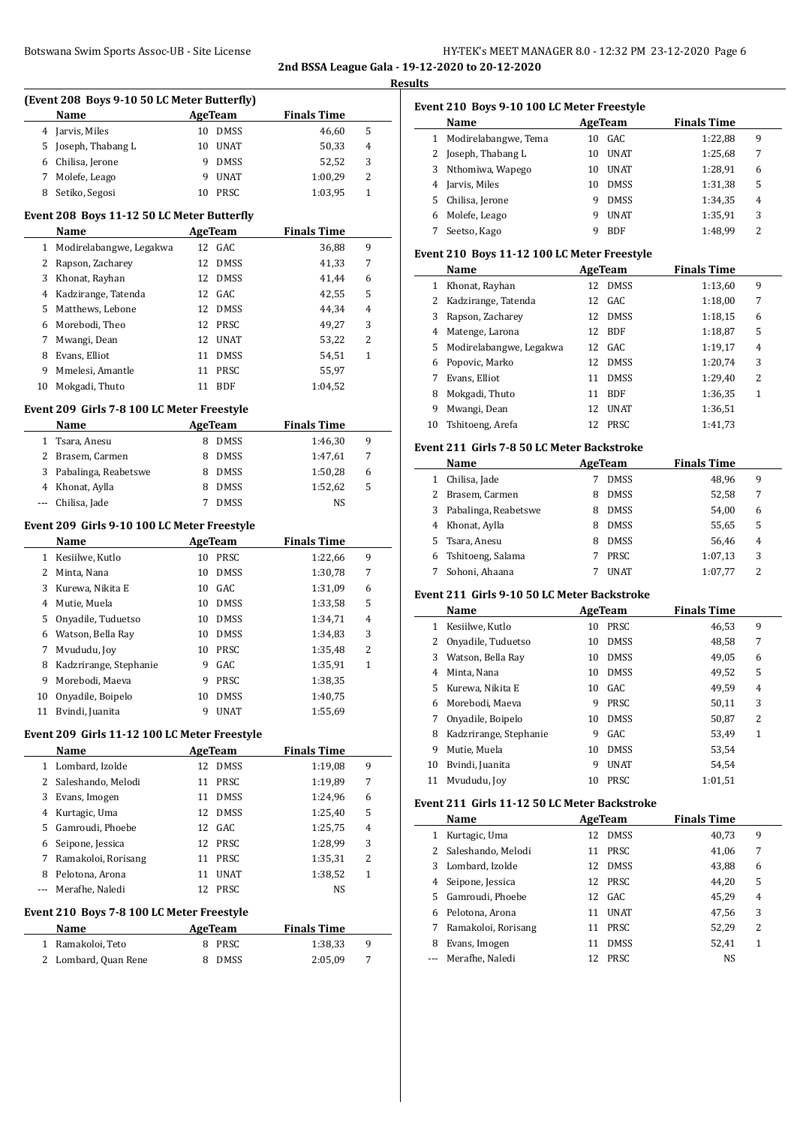# Botswana Swim Sports Assoc-UB - Site License **HY-TEK's MEET MANAGER 8.0 - 12:32 PM 23-12-2020** Page 6

**2nd BSSA League Gala - 19-12-2020 to 20-12-2020 Results**

 $\overline{a}$ 

 $\overline{\phantom{a}}$ 

# **(Event 208 Boys 9-10 50 LC Meter Butterfly)**

|   | $\mu$ . The same state of $\mu$ is the set of $\mu$ in the set of $\mu$ |    |             |                    |   |  |
|---|-------------------------------------------------------------------------|----|-------------|--------------------|---|--|
|   | <b>Name</b>                                                             |    | AgeTeam     | <b>Finals Time</b> |   |  |
|   | 4 Jarvis, Miles                                                         | 10 | DMSS        | 46,60              | 5 |  |
|   | 5 Joseph, Thabang L                                                     | 10 | UNAT        | 50,33              | 4 |  |
|   | 6 Chilisa, Jerone                                                       |    | <b>DMSS</b> | 52.52              | 3 |  |
|   | 7 Molefe, Leago                                                         |    | UNAT        | 1:00,29            | 2 |  |
| 8 | Setiko, Segosi                                                          | 10 | PRSC        | 1:03.95            |   |  |

# **Event 208 Boys 11-12 50 LC Meter Butterfly**

|    | Name                    |    | AgeTeam     | <b>Finals Time</b> |   |
|----|-------------------------|----|-------------|--------------------|---|
| 1  | Modirelabangwe, Legakwa |    | 12 GAC      | 36,88              | 9 |
|    | Rapson, Zacharey        | 12 | DMSS        | 41,33              | 7 |
| 3  | Khonat, Rayhan          |    | 12 DMSS     | 41.44              | 6 |
| 4  | Kadzirange, Tatenda     |    | 12 GAC      | 42,55              | 5 |
| 5. | Matthews, Lebone        | 12 | <b>DMSS</b> | 44.34              | 4 |
| 6  | Morebodi, Theo          |    | 12 PRSC     | 49,27              | 3 |
| 7  | Mwangi, Dean            | 12 | <b>UNAT</b> | 53,22              | 2 |
| 8  | Evans, Elliot           | 11 | <b>DMSS</b> | 54.51              | 1 |
| 9  | Mmelesi, Amantle        | 11 | <b>PRSC</b> | 55,97              |   |
| 10 | Mokgadi, Thuto          |    | <b>BDF</b>  | 1:04,52            |   |

# **Event 209 Girls 7-8 100 LC Meter Freestyle**

| <b>Name</b>            | AgeTeam     | <b>Finals Time</b> |   |  |
|------------------------|-------------|--------------------|---|--|
| 1 Tsara, Anesu         | <b>DMSS</b> | 1:46.30            | 9 |  |
| 2 Brasem, Carmen       | <b>DMSS</b> | 1:47.61            |   |  |
| 3 Pabalinga, Reabetswe | <b>DMSS</b> | 1:50,28            | 6 |  |
| 4 Khonat, Aylla        | <b>DMSS</b> | 1:52.62            | 5 |  |
| Chilisa, Jade          | <b>DMSS</b> | NS                 |   |  |

# **Event 209 Girls 9-10 100 LC Meter Freestyle**

|    | Name                   |    | AgeTeam     | <b>Finals Time</b> |   |  |
|----|------------------------|----|-------------|--------------------|---|--|
|    | Kesiilwe, Kutlo        | 10 | <b>PRSC</b> | 1:22,66            | 9 |  |
|    | Minta, Nana            | 10 | <b>DMSS</b> | 1:30,78            | 7 |  |
| 3  | Kurewa, Nikita E       | 10 | GAC         | 1:31,09            | 6 |  |
| 4  | Mutie, Muela           | 10 | <b>DMSS</b> | 1:33,58            | 5 |  |
| 5. | Onyadile, Tuduetso     | 10 | <b>DMSS</b> | 1:34,71            | 4 |  |
| 6  | Watson, Bella Ray      | 10 | <b>DMSS</b> | 1:34,83            | 3 |  |
| 7  | Myududu, Joy           | 10 | <b>PRSC</b> | 1:35,48            | 2 |  |
| 8  | Kadzrirange, Stephanie | 9  | GAC         | 1:35,91            | 1 |  |
| 9  | Morebodi, Maeva        | 9  | <b>PRSC</b> | 1:38,35            |   |  |
| 10 | Onyadile, Boipelo      | 10 | <b>DMSS</b> | 1:40,75            |   |  |
| 11 | Bvindi, Juanita        | 9  | UNAT        | 1:55.69            |   |  |

## **Event 209 Girls 11-12 100 LC Meter Freestyle**

|          | Name                                      |    | AgeTeam     | <b>Finals Time</b> |   |
|----------|-------------------------------------------|----|-------------|--------------------|---|
|          | Lombard, Izolde                           | 12 | <b>DMSS</b> | 1:19,08            | 9 |
|          | 2 Saleshando, Melodi                      | 11 | PRSC        | 1:19,89            | 7 |
| 3        | Evans, Imogen                             | 11 | <b>DMSS</b> | 1:24.96            | 6 |
| 4        | Kurtagic, Uma                             |    | 12 DMSS     | 1:25,40            | 5 |
| 5.       | Gamroudi, Phoebe                          |    | 12 GAC      | 1:25,75            | 4 |
| 6        | Seipone, Jessica                          |    | 12 PRSC     | 1:28,99            | 3 |
| 7        | Ramakoloi, Rorisang                       | 11 | PRSC        | 1:35,31            | 2 |
| 8        | Pelotona, Arona                           | 11 | <b>UNAT</b> | 1:38,52            | 1 |
| $\cdots$ | Merafhe, Naledi                           | 12 | PRSC        | <b>NS</b>          |   |
|          | Event 210 Boys 7-8 100 LC Meter Freestyle |    |             |                    |   |

# **Name Age Team Finals Time**  Ramakoloi, Teto 8 PRSC 1:38,33 9 2 Lombard, Quan Rene 8 DMSS 2:05,09 7

# **Event 210 Boys 9-10 100 LC Meter Freestyle**

|   | Name                 |    | AgeTeam     | <b>Finals Time</b> |   |
|---|----------------------|----|-------------|--------------------|---|
| 1 | Modirelabangwe, Tema | 10 | GAC.        | 1:22,88            | 9 |
| 2 | Joseph, Thabang L    | 10 | <b>UNAT</b> | 1:25,68            | 7 |
| 3 | Nthomiwa, Wapego     | 10 | <b>UNAT</b> | 1:28,91            | 6 |
| 4 | Jarvis, Miles        | 10 | <b>DMSS</b> | 1:31,38            | 5 |
| 5 | Chilisa, Jerone      | 9  | <b>DMSS</b> | 1:34,35            | 4 |
| 6 | Molefe, Leago        | q  | <b>UNAT</b> | 1:35,91            | 3 |
|   | Seetso, Kago         | q  | <b>BDF</b>  | 1:48.99            | 2 |

# **Event 210 Boys 11-12 100 LC Meter Freestyle**

|    | Name                    |    | AgeTeam     | <b>Finals Time</b> |                |
|----|-------------------------|----|-------------|--------------------|----------------|
|    | Khonat, Rayhan          | 12 | <b>DMSS</b> | 1:13,60            | 9              |
| 2. | Kadzirange, Tatenda     |    | 12 GAC      | 1:18,00            | 7              |
| 3  | Rapson, Zacharey        | 12 | <b>DMSS</b> | 1:18,15            | 6              |
| 4  | Matenge, Larona         | 12 | <b>BDF</b>  | 1:18,87            | 5              |
| 5. | Modirelabangwe, Legakwa | 12 | GAC.        | 1:19,17            | $\overline{4}$ |
| 6  | Popovic, Marko          | 12 | <b>DMSS</b> | 1:20,74            | 3              |
|    | Evans. Elliot           | 11 | <b>DMSS</b> | 1:29,40            | 2              |
| 8  | Mokgadi, Thuto          | 11 | <b>BDF</b>  | 1:36,35            | 1              |
| 9  | Mwangi, Dean            | 12 | <b>UNAT</b> | 1:36,51            |                |
| 10 | Tshitoeng, Arefa        | 12 | <b>PRSC</b> | 1:41.73            |                |

# **Event 211 Girls 7-8 50 LC Meter Backstroke**

|   | Name                 | AgeTeam |             | <b>Finals Time</b> |                |  |
|---|----------------------|---------|-------------|--------------------|----------------|--|
|   | Chilisa, Jade        |         | <b>DMSS</b> | 48.96              | 9              |  |
|   | Brasem, Carmen       | 8       | <b>DMSS</b> | 52,58              | 7              |  |
| 3 | Pabalinga, Reabetswe | 8       | <b>DMSS</b> | 54.00              | 6              |  |
|   | Khonat, Aylla        | 8       | <b>DMSS</b> | 55,65              | 5              |  |
|   | 5 Tsara, Anesu       | 8       | <b>DMSS</b> | 56,46              | $\overline{4}$ |  |
| 6 | Tshitoeng, Salama    |         | PRSC        | 1:07,13            | 3              |  |
|   | Sohoni, Ahaana       |         | <b>UNAT</b> | 1:07.77            | 2              |  |

# **Event 211 Girls 9-10 50 LC Meter Backstroke**

|    | <b>Name</b>            |    | AgeTeam     | <b>Finals Time</b> |   |  |
|----|------------------------|----|-------------|--------------------|---|--|
|    |                        |    |             |                    |   |  |
| 1  | Kesiilwe, Kutlo        | 10 | PRSC        | 46,53              | 9 |  |
| 2  | Onyadile, Tuduetso     | 10 | <b>DMSS</b> | 48.58              | 7 |  |
| 3  | Watson, Bella Ray      | 10 | <b>DMSS</b> | 49,05              | 6 |  |
| 4  | Minta, Nana            | 10 | <b>DMSS</b> | 49,52              | 5 |  |
| 5. | Kurewa, Nikita E       | 10 | GAC         | 49.59              | 4 |  |
| 6  | Morebodi, Maeva        | 9  | PRSC        | 50,11              | 3 |  |
| 7  | Onyadile, Boipelo      | 10 | <b>DMSS</b> | 50,87              | 2 |  |
| 8  | Kadzrirange, Stephanie | 9  | GAC         | 53.49              | 1 |  |
| 9  | Mutie, Muela           | 10 | <b>DMSS</b> | 53,54              |   |  |
| 10 | Bvindi, Juanita        | 9  | <b>UNAT</b> | 54.54              |   |  |
| 11 | Myududu, Joy           | 10 | PRSC        | 1:01,51            |   |  |

# **Event 211 Girls 11-12 50 LC Meter Backstroke**

|    | Name                |     | AgeTeam     | <b>Finals Time</b> |   |
|----|---------------------|-----|-------------|--------------------|---|
|    | Kurtagic, Uma       |     | 12 DMSS     | 40,73              | 9 |
|    | Saleshando, Melodi  | 11  | <b>PRSC</b> | 41,06              | 7 |
| 3  | Lombard, Izolde     |     | 12 DMSS     | 43,88              | 6 |
| 4  | Seipone, Jessica    |     | 12 PRSC     | 44,20              | 5 |
| 5. | Gamroudi, Phoebe    |     | 12 GAC      | 45.29              | 4 |
| 6  | Pelotona, Arona     | 11  | <b>UNAT</b> | 47.56              | 3 |
|    | Ramakoloi, Rorisang | 11  | PRSC        | 52,29              | 2 |
| 8  | Evans, Imogen       | 11  | <b>DMSS</b> | 52,41              | 1 |
|    | Merafhe, Naledi     | 12. | PRSC        | NS                 |   |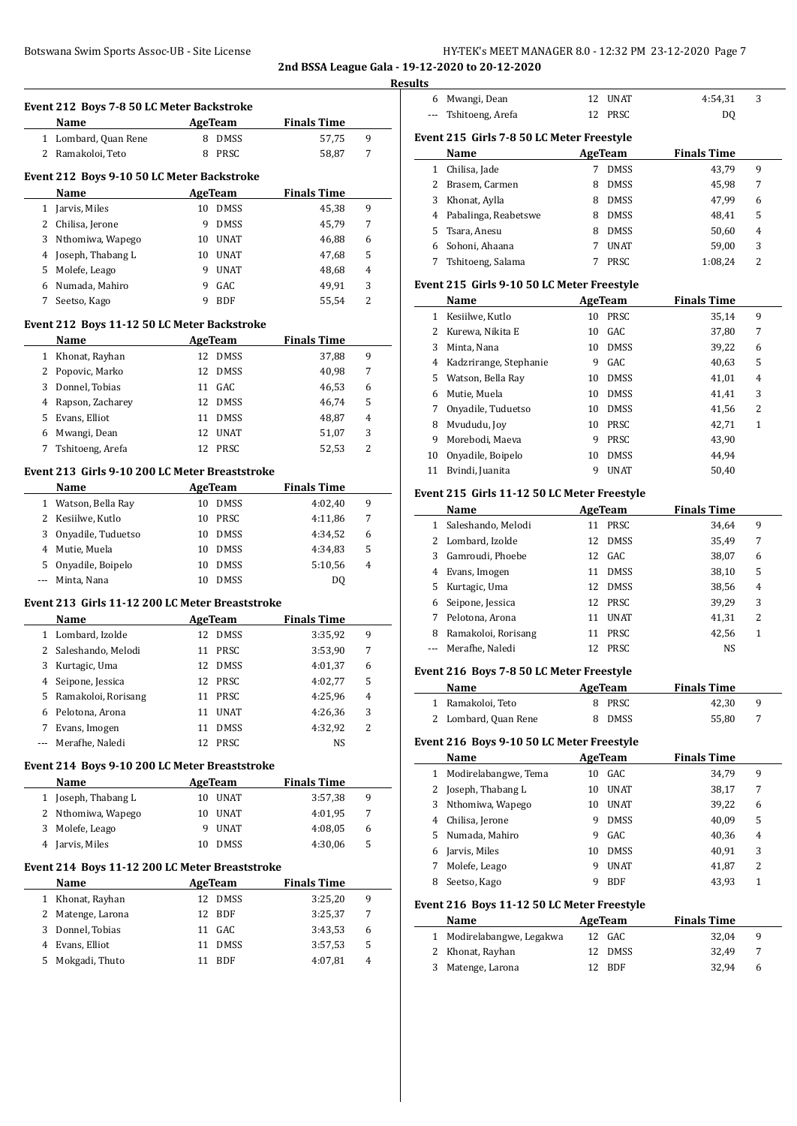# Botswana Swim Sports Assoc-UB - Site License **HY-TEK's MEET MANAGER 8.0 - 12:32 PM 23-12-2020** Page 7

**2nd BSSA League Gala - 19-12-2020 to 20-12-2020**

|                       | Name                                                       |                | <b>AgeTeam</b>     | <b>Finals Time</b> |        |
|-----------------------|------------------------------------------------------------|----------------|--------------------|--------------------|--------|
|                       | 1 Lombard, Quan Rene                                       |                | 8 DMSS             | 57,75              | 9      |
|                       | 2 Ramakoloi, Teto                                          |                | 8 PRSC             | 58,87              | 7      |
|                       | Event 212 Boys 9-10 50 LC Meter Backstroke                 |                |                    |                    |        |
|                       | Name                                                       | AgeTeam        |                    | <b>Finals Time</b> |        |
|                       | 1 Jarvis, Miles                                            |                | 10 DMSS            | 45,38              | 9      |
|                       | 2 Chilisa, Jerone                                          | 9              | <b>DMSS</b>        | 45,79              | 7      |
| 3                     | Nthomiwa, Wapego                                           |                | 10 UNAT            | 46,88              | 6      |
|                       | 4 Joseph, Thabang L                                        |                | 10 UNAT            | 47,68              | 5      |
|                       | 5 Molefe, Leago                                            |                | 9 UNAT             | 48,68              | 4      |
|                       | 6 Numada, Mahiro                                           |                | 9 GAC              | 49,91              | 3      |
| 7                     | Seetso, Kago                                               | 9              | BDF                | 55,54              | 2      |
|                       |                                                            |                |                    |                    |        |
|                       | Event 212 Boys 11-12 50 LC Meter Backstroke<br><b>Name</b> |                | AgeTeam            | <b>Finals Time</b> |        |
|                       | 1 Khonat, Rayhan                                           |                | 12 DMSS            | 37,88              | 9      |
|                       | 2 Popovic, Marko                                           |                | 12 DMSS            | 40,98              | 7      |
| 3                     | Donnel, Tobias                                             |                | 11 GAC             | 46,53              | 6      |
| 4                     | Rapson, Zacharey                                           |                | 12 DMSS            | 46,74              | 5      |
|                       | 5 Evans, Elliot                                            |                | 11 DMSS            | 48,87              | 4      |
|                       | 6 Mwangi, Dean                                             |                | 12 UNAT            | 51,07              | 3      |
| 7                     | Tshitoeng, Arefa                                           |                | 12 PRSC            | 52,53              | 2      |
|                       |                                                            |                |                    |                    |        |
|                       | Event 213 Girls 9-10 200 LC Meter Breaststroke             |                |                    |                    |        |
|                       | Name                                                       |                | AgeTeam            | <b>Finals Time</b> |        |
|                       | 1 Watson, Bella Ray<br>2 Kesiilwe, Kutlo                   |                | 10 DMSS<br>10 PRSC | 4:02,40            | 9<br>7 |
| 3                     | Onyadile, Tuduetso                                         |                | 10 DMSS            | 4:11,86            | 6      |
|                       |                                                            |                |                    | 4:34,52            |        |
|                       | 4 Mutie, Muela                                             |                | 10 DMSS            | 4:34,83            | 5<br>4 |
| $---$                 | 5 Onyadile, Boipelo<br>Minta, Nana                         |                | 10 DMSS<br>10 DMSS | 5:10,56<br>DQ      |        |
|                       |                                                            |                |                    |                    |        |
|                       | Event 213 Girls 11-12 200 LC Meter Breaststroke            |                |                    |                    |        |
|                       |                                                            |                |                    | <b>Finals Time</b> |        |
|                       | Name                                                       | <b>AgeTeam</b> |                    |                    |        |
|                       | 1 Lombard, Izolde                                          |                | 12 DMSS            | 3:35,92            | 9      |
|                       | 2 Saleshando, Melodi                                       |                | 11 PRSC            | 3:53,90            | 7      |
|                       | 3 Kurtagic, Uma                                            |                | 12 DMSS            | 4:01,37            | 6      |
| 4                     | Seipone, Jessica                                           |                | 12 PRSC            | 4:02,77            | 5      |
| 5                     | Ramakoloi, Rorisang                                        | 11             | PRSC               | 4:25,96            | 4      |
| 6                     | Pelotona, Arona                                            | 11             | <b>UNAT</b>        | 4:26,36            | 3      |
| 7                     | Evans, Imogen                                              | 11             | DMSS               | 4:32,92            | 2      |
| ---                   | Merafhe, Naledi                                            |                | 12 PRSC            | NS                 |        |
|                       | Event 214 Boys 9-10 200 LC Meter Breaststroke              |                |                    |                    |        |
|                       | Name                                                       |                | <b>AgeTeam</b>     | <b>Finals Time</b> |        |
|                       | 1 Joseph, Thabang L                                        |                | 10 UNAT            | 3:57,38            | 9      |
|                       | 2 Nthomiwa, Wapego                                         | 10             | UNAT               | 4:01,95            | 7      |
| 3                     | Molefe, Leago                                              | 9              | <b>UNAT</b>        | 4:08,05            | 6      |
| 4                     | Jarvis, Miles                                              | 10             | DMSS               | 4:30,06            | 5      |
|                       | Event 214 Boys 11-12 200 LC Meter Breaststroke             |                |                    |                    |        |
|                       | Name                                                       |                | <b>AgeTeam</b>     | <b>Finals Time</b> |        |
| $\mathbf{1}$          | Khonat, Rayhan                                             |                | 12 DMSS            | 3:25,20            | 9      |
| $\mathbf{2}^{\prime}$ | Matenge, Larona                                            | 12             | BDF                | 3:25,37            | 7      |
| 3                     | Donnel, Tobias                                             |                | 11 GAC             | 3:43,53            | 6      |
| 4                     | Evans, Elliot<br>Mokgadi, Thuto                            | 11             | DMSS               | 3:57,53            | 5      |

| ults     |                                             |          |                       |                             |                     |
|----------|---------------------------------------------|----------|-----------------------|-----------------------------|---------------------|
| 6        | Mwangi, Dean                                | 12       | <b>UNAT</b>           | 4:54,31                     | 3                   |
| ---      | Tshitoeng, Arefa                            | 12       | PRSC                  | DQ                          |                     |
|          | Event 215 Girls 7-8 50 LC Meter Freestyle   |          |                       |                             |                     |
|          | Name                                        |          | AgeTeam               | <b>Finals Time</b>          |                     |
| 1        | Chilisa, Jade                               | 7        | <b>DMSS</b>           | 43,79                       | 9                   |
|          | 2 Brasem, Carmen                            | 8        | DMSS                  | 45,98                       | 7                   |
|          | 3 Khonat, Aylla                             |          | 8 DMSS                | 47,99                       | 6                   |
|          | 4 Pabalinga, Reabetswe                      |          | 8 DMSS                | 48,41                       | 5                   |
| 5        | Tsara, Anesu                                |          | 8 DMSS                | 50,60                       | 4                   |
|          | 6 Sohoni, Ahaana                            |          | 7 UNAT                | 59,00                       | 3                   |
| 7        | Tshitoeng, Salama                           | 7        | PRSC                  | 1:08,24                     | 2                   |
|          |                                             |          |                       |                             |                     |
|          | Event 215 Girls 9-10 50 LC Meter Freestyle  |          |                       |                             |                     |
|          | Name                                        |          | <b>AgeTeam</b>        | <b>Finals Time</b>          |                     |
|          | 1 Kesiilwe, Kutlo                           | 10       | PRSC                  | 35,14                       | 9                   |
|          | 2 Kurewa, Nikita E                          | 10       | GAC                   | 37,80                       | 7                   |
|          | 3 Minta, Nana                               |          | 10 DMSS               | 39,22                       | 6                   |
|          | 4 Kadzrirange, Stephanie                    |          | 9 GAC                 | 40,63                       | 5                   |
|          | 5 Watson, Bella Ray                         |          | 10 DMSS               | 41,01                       | 4                   |
| 6        | Mutie, Muela                                |          | 10 DMSS               | 41,41                       | 3                   |
| 7        | Onyadile, Tuduetso                          |          | 10 DMSS               | 41,56                       | 2                   |
|          | 8 Mvududu, Joy                              |          | 10 PRSC               | 42,71                       | 1                   |
| 9        | Morebodi, Maeva                             |          | 9 PRSC                | 43,90                       |                     |
| 10       | Onyadile, Boipelo                           |          | 10 DMSS               | 44,94                       |                     |
| 11       | Bvindi, Juanita                             | 9        | UNAT                  | 50,40                       |                     |
|          | Event 215 Girls 11-12 50 LC Meter Freestyle |          |                       |                             |                     |
|          | Name                                        |          | <b>AgeTeam</b>        | <b>Finals Time</b>          |                     |
|          | 1 Saleshando, Melodi                        |          | 11 PRSC               | 34,64                       | 9                   |
|          | 2 Lombard, Izolde                           |          | <b>DMSS</b>           |                             |                     |
|          |                                             | 12       |                       |                             |                     |
|          |                                             |          |                       | 35,49                       | 7                   |
|          | 3 Gamroudi, Phoebe                          | 12       | GAC                   | 38,07                       | 6                   |
|          | 4 Evans, Imogen                             |          | 11 DMSS               | 38,10                       | 5<br>4              |
|          | 5 Kurtagic, Uma                             |          | 12 DMSS               | 38,56                       |                     |
|          | 6 Seipone, Jessica                          |          | 12 PRSC               | 39,29                       | 3                   |
|          | 7 Pelotona, Arona                           |          | 11 UNAT<br>PRSC       | 41,31                       | 2<br>1              |
| 8<br>--- | Ramakoloi, Rorisang                         | 11<br>12 |                       | 42,56                       |                     |
|          | Merafhe, Naledi                             |          | PRSC                  | NS                          |                     |
|          | Event 216 Boys 7-8 50 LC Meter Freestyle    |          |                       |                             |                     |
|          | Name                                        |          | <b>AgeTeam</b>        | <b>Finals Time</b>          |                     |
| 1        | Ramakoloi, Teto                             | 8        | PRSC                  | 42,30                       | 9                   |
| 2        | Lombard, Quan Rene                          | 8        | DMSS                  | 55,80                       | 7                   |
|          | Event 216 Boys 9-10 50 LC Meter Freestyle   |          |                       |                             |                     |
|          | Name                                        |          |                       |                             |                     |
| 1        | Modirelabangwe, Tema                        | 10       | <b>AgeTeam</b><br>GAC | <b>Finals Time</b><br>34,79 | 9                   |
| 2        |                                             |          |                       |                             | 7                   |
|          | Joseph, Thabang L                           | 10       | <b>UNAT</b>           | 38,17                       |                     |
| 3        | Nthomiwa, Wapego                            | 10<br>9  | <b>UNAT</b>           | 39,22                       | 6                   |
| 4<br>5   | Chilisa, Jerone                             | 9        | DMSS                  | 40,09                       | 5                   |
|          | Numada, Mahiro                              |          | GAC                   | 40,36                       | 4                   |
| 6<br>7   | Jarvis, Miles<br>Molefe, Leago              | 10<br>9  | DMSS<br><b>UNAT</b>   | 40,91<br>41,87              | 3<br>$\overline{c}$ |

# **Event 216 Boys 11-12 50 LC Meter Freestyle**

| Name                      | AgeTeam | <b>Finals Time</b> |       |   |
|---------------------------|---------|--------------------|-------|---|
| 1 Modirelabangwe, Legakwa | 12 GAC  |                    | 32.04 | 9 |
| 2 Khonat, Rayhan          | 12 DMSS |                    | 32.49 |   |
| 3 Matenge, Larona         | 12 BDF  |                    | 32.94 | 6 |